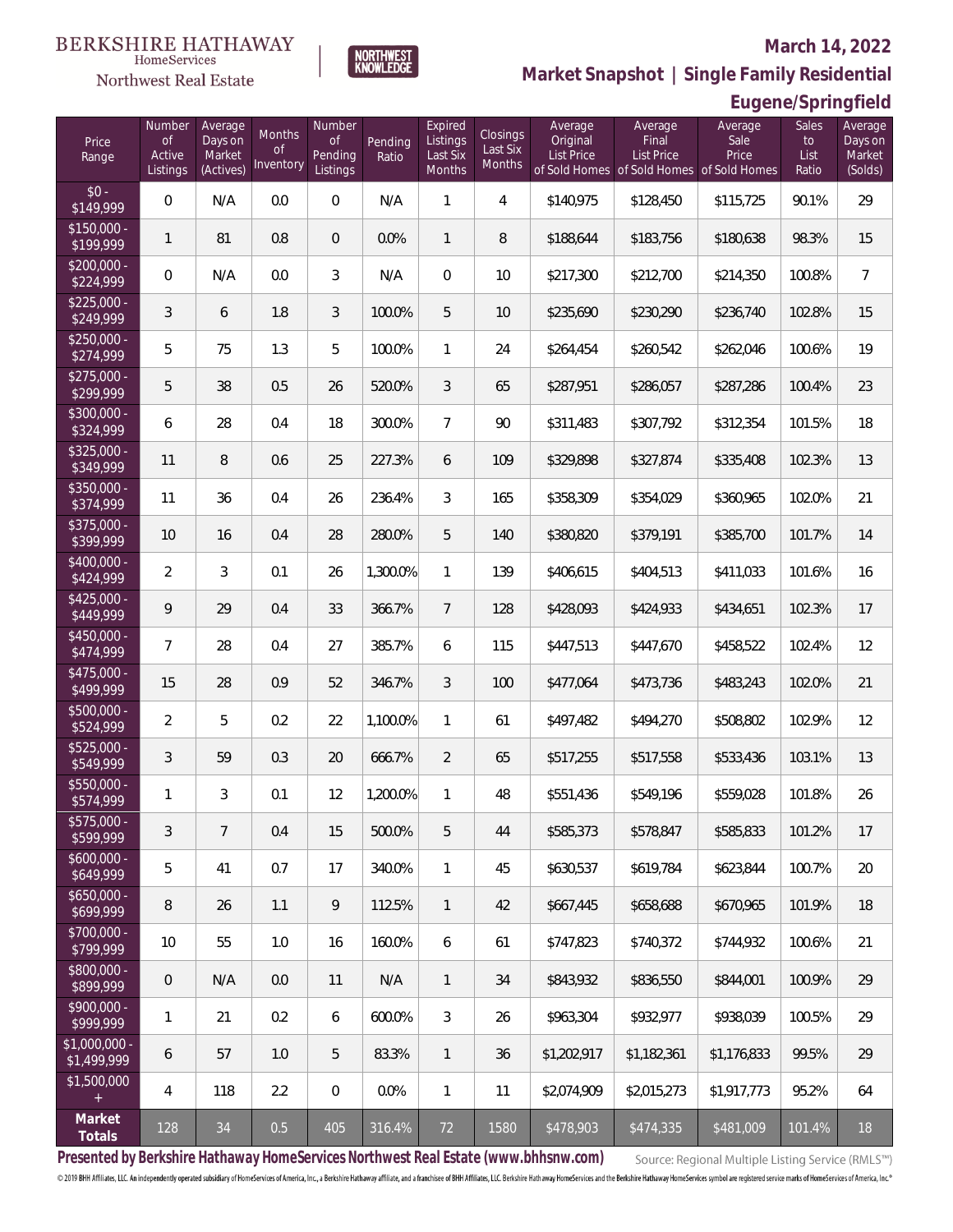### Northwest Real Estate

### **March 14, 2022**



| Eugene/Springfield |
|--------------------|
|--------------------|

| Price<br>Range                | Number<br><b>of</b><br>Active<br>Listings | Average<br>Days on<br>Market<br>(Actives) | <b>Months</b><br><b>of</b><br>Inventory | Number<br><b>of</b><br>Pending<br>Listings | Pending<br>Ratio | Expired<br>Listings<br>Last Six<br>Months | Closings<br>Last Six<br>Months | Average<br>Original<br>List Price | Average<br>Final<br><b>List Price</b> | Average<br>Sale<br>Price<br>of Sold Homes of Sold Homes of Sold Homes | Sales<br>to<br>List<br>Ratio | Average<br>Days on<br>Market<br>(Solds) |
|-------------------------------|-------------------------------------------|-------------------------------------------|-----------------------------------------|--------------------------------------------|------------------|-------------------------------------------|--------------------------------|-----------------------------------|---------------------------------------|-----------------------------------------------------------------------|------------------------------|-----------------------------------------|
| $$0 -$<br>\$149,999           | $\overline{0}$                            | N/A                                       | 0.0                                     | $\overline{0}$                             | N/A              | 1                                         | $\overline{4}$                 | \$140,975                         | \$128,450                             | \$115,725                                                             | 90.1%                        | 29                                      |
| $$150,000 -$<br>\$199,999     | $\mathbf{1}$                              | 81                                        | 0.8                                     | $\overline{0}$                             | 0.0%             | $\mathbf{1}$                              | 8                              | \$188,644                         | \$183,756                             | \$180,638                                                             | 98.3%                        | 15                                      |
| $$200,000 -$<br>\$224,999     | $\overline{0}$                            | N/A                                       | 0.0                                     | 3                                          | N/A              | $\Omega$                                  | 10                             | \$217,300                         | \$212,700                             | \$214,350                                                             | 100.8%                       | $\overline{7}$                          |
| $$225,000 -$<br>\$249,999     | 3                                         | 6                                         | 1.8                                     | 3                                          | 100.0%           | 5                                         | 10                             | \$235,690                         | \$230,290                             | \$236,740                                                             | 102.8%                       | 15                                      |
| $$250,000 -$<br>\$274,999     | 5                                         | 75                                        | 1.3                                     | 5                                          | 100.0%           | $\mathbf{1}$                              | 24                             | \$264,454                         | \$260,542                             | \$262,046                                                             | 100.6%                       | 19                                      |
| $$275,000 -$<br>\$299,999     | 5                                         | 38                                        | 0.5                                     | 26                                         | 520.0%           | 3                                         | 65                             | \$287,951                         | \$286,057                             | \$287,286                                                             | 100.4%                       | 23                                      |
| $$300,000 -$<br>\$324,999     | 6                                         | 28                                        | 0.4                                     | 18                                         | 300.0%           | $\overline{7}$                            | 90                             | \$311,483                         | \$307,792                             | \$312,354                                                             | 101.5%                       | 18                                      |
| $$325,000 -$<br>\$349,999     | 11                                        | 8                                         | 0.6                                     | 25                                         | 227.3%           | 6                                         | 109                            | \$329,898                         | \$327,874                             | \$335,408                                                             | 102.3%                       | 13                                      |
| $$350,000 -$<br>\$374,999     | 11                                        | 36                                        | 0.4                                     | 26                                         | 236.4%           | 3                                         | 165                            | \$358,309                         | \$354,029                             | \$360,965                                                             | 102.0%                       | 21                                      |
| $$375,000 -$<br>\$399,999     | 10                                        | 16                                        | 0.4                                     | 28                                         | 280.0%           | 5                                         | 140                            | \$380,820                         | \$379,191                             | \$385,700                                                             | 101.7%                       | 14                                      |
| $$400,000 -$<br>\$424,999     | $\overline{2}$                            | 3                                         | 0.1                                     | 26                                         | 1,300.0%         | $\mathbf{1}$                              | 139                            | \$406,615                         | \$404,513                             | \$411,033                                                             | 101.6%                       | 16                                      |
| $$425,000 -$<br>\$449,999     | 9                                         | 29                                        | 0.4                                     | 33                                         | 366.7%           | $\overline{7}$                            | 128                            | \$428,093                         | \$424,933                             | \$434,651                                                             | 102.3%                       | 17                                      |
| $$450,000 -$<br>\$474,999     | $\overline{7}$                            | 28                                        | 0.4                                     | 27                                         | 385.7%           | 6                                         | 115                            | \$447,513                         | \$447,670                             | \$458,522                                                             | 102.4%                       | 12                                      |
| $$475,000 -$<br>\$499,999     | 15                                        | 28                                        | 0.9                                     | 52                                         | 346.7%           | 3                                         | 100                            | \$477,064                         | \$473,736                             | \$483,243                                                             | 102.0%                       | 21                                      |
| $$500,000 -$<br>\$524,999     | $\overline{2}$                            | 5                                         | 0.2                                     | 22                                         | 1,100.0%         | 1                                         | 61                             | \$497,482                         | \$494,270                             | \$508,802                                                             | 102.9%                       | 12                                      |
| \$525,000 -<br>\$549,999      | 3                                         | 59                                        | 0.3                                     | 20                                         | 666.7%           | $\overline{2}$                            | 65                             | \$517,255                         | \$517,558                             | \$533,436                                                             | 103.1%                       | 13                                      |
| \$550,000 -<br>\$574,999      | 1                                         | 3                                         | 0.1                                     | 12                                         | 1,200.0%         | 1                                         | 48                             | \$551,436                         | \$549,196                             | \$559,028                                                             | 101.8%                       | 26                                      |
| \$575,000 -<br>\$599,999      | 3                                         | $7\overline{ }$                           | 0.4                                     | 15                                         | 500.0%           | 5                                         | 44                             | \$585,373                         | \$578,847                             | \$585,833                                                             | 101.2%                       | 17                                      |
| $$600,000 -$<br>\$649,999     | 5                                         | 41                                        | 0.7                                     | 17                                         | 340.0%           | $\mathbf{1}$                              | 45                             | \$630,537                         | \$619,784                             | \$623,844                                                             | 100.7%                       | 20                                      |
| $$650,000 -$<br>\$699,999     | 8                                         | 26                                        | 1.1                                     | 9                                          | 112.5%           | $\mathbf{1}$                              | 42                             | \$667,445                         | \$658,688                             | \$670,965                                                             | 101.9%                       | 18                                      |
| \$700,000 -<br>\$799,999      | 10                                        | 55                                        | 1.0                                     | 16                                         | 160.0%           | 6                                         | 61                             | \$747,823                         | \$740,372                             | \$744,932                                                             | 100.6%                       | 21                                      |
| \$800,000 -<br>\$899,999      | $\mathbf 0$                               | N/A                                       | 0.0                                     | 11                                         | N/A              | $\mathbf{1}$                              | 34                             | \$843,932                         | \$836,550                             | \$844,001                                                             | 100.9%                       | 29                                      |
| \$900,000 -<br>\$999,999      | 1                                         | 21                                        | 0.2                                     | 6                                          | 600.0%           | 3                                         | 26                             | \$963,304                         | \$932,977                             | \$938,039                                                             | 100.5%                       | 29                                      |
| $$1,000,000$ -<br>\$1,499,999 | 6                                         | 57                                        | 1.0                                     | 5                                          | 83.3%            | $\mathbf{1}$                              | 36                             | \$1,202,917                       | \$1,182,361                           | \$1,176,833                                                           | 99.5%                        | 29                                      |
| \$1,500,000<br>$\pm$          | 4                                         | 118                                       | 2.2                                     | $\overline{0}$                             | 0.0%             | $\mathbf{1}$                              | 11                             | \$2,074,909                       | \$2,015,273                           | \$1,917,773                                                           | 95.2%                        | 64                                      |
| Market<br>Totals              | 128                                       | $34\,$                                    | 0.5                                     | 405                                        | 316.4%           | 72                                        | 1580                           | \$478,903                         | \$474,335                             | \$481,009                                                             | 101.4%                       | $18\,$                                  |

NORTHWEST<br>KNOWLFDGF

**Presented by Berkshire Hathaway HomeServices Northwest Real Estate (www.bhhsnw.com)**

Source: Regional Multiple Listing Service (RMLS™)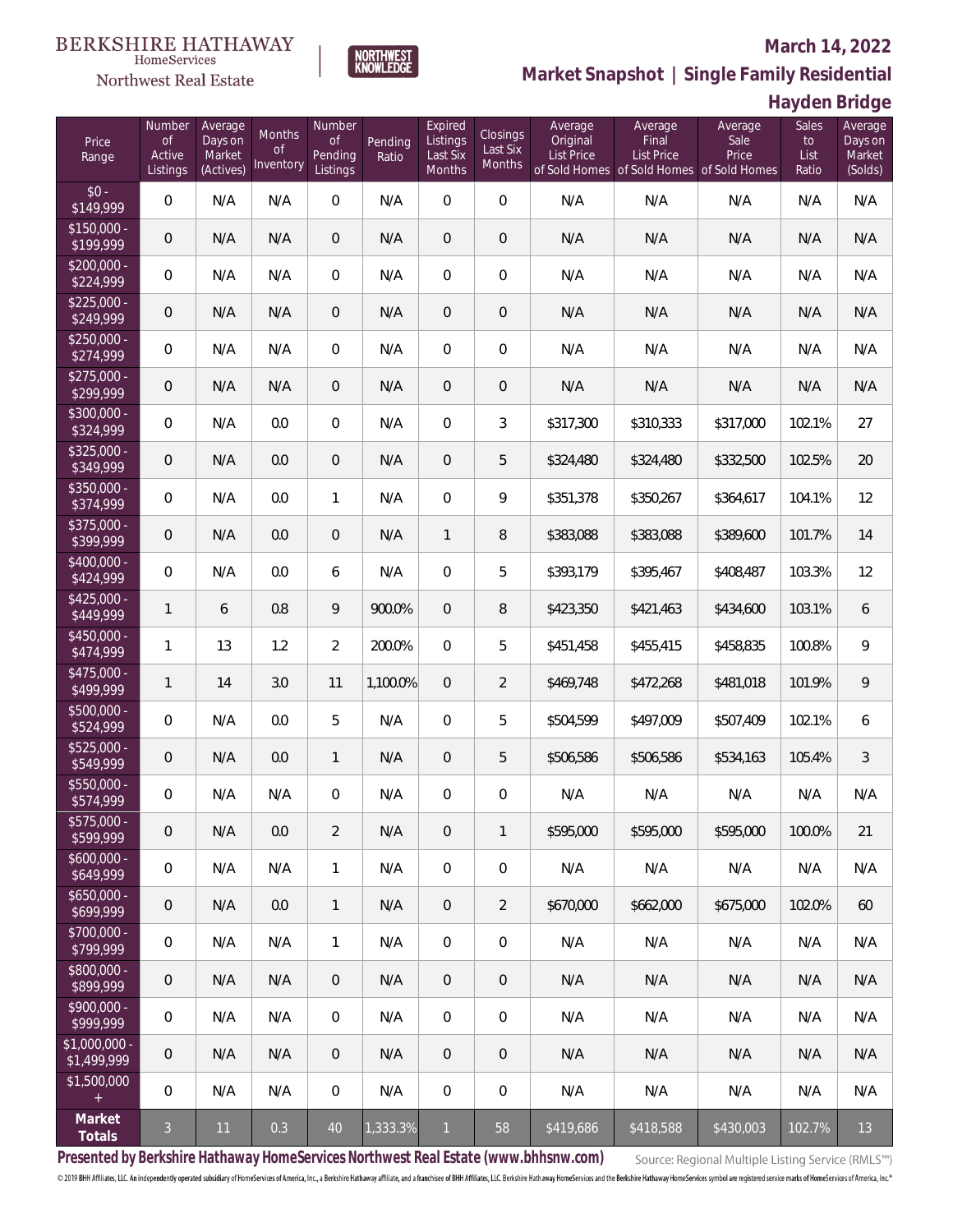### Northwest Real Estate

### **March 14, 2022**



**Hayden Bridge**

| Price<br>Range               | Number<br><b>of</b><br>Active<br>Listings | Average<br>Days on<br>Market<br>(Actives) | Months<br>0f<br>Inventory | Number<br><b>of</b><br>Pending<br>Listings | Pending<br>Ratio | Expired<br>Listings<br>Last Six<br>Months | Closings<br>Last Six<br>Months | Average<br>Original<br><b>List Price</b> | Average<br>Final<br><b>List Price</b><br>of Sold Homes of Sold Homes of Sold Homes | Average<br>Sale<br>Price | Sales<br>to<br>List<br>Ratio | Average<br>Days on<br>Market<br>(Solds) |
|------------------------------|-------------------------------------------|-------------------------------------------|---------------------------|--------------------------------------------|------------------|-------------------------------------------|--------------------------------|------------------------------------------|------------------------------------------------------------------------------------|--------------------------|------------------------------|-----------------------------------------|
| $$0 -$<br>\$149,999          | $\overline{0}$                            | N/A                                       | N/A                       | $\overline{0}$                             | N/A              | $\overline{0}$                            | $\overline{0}$                 | N/A                                      | N/A                                                                                | N/A                      | N/A                          | N/A                                     |
| $$150,000 -$<br>\$199,999    | $\overline{0}$                            | N/A                                       | N/A                       | $\overline{0}$                             | N/A              | $\overline{0}$                            | $\overline{0}$                 | N/A                                      | N/A                                                                                | N/A                      | N/A                          | N/A                                     |
| $$200,000 -$<br>\$224,999    | $\overline{0}$                            | N/A                                       | N/A                       | $\overline{0}$                             | N/A              | $\overline{0}$                            | $\overline{0}$                 | N/A                                      | N/A                                                                                | N/A                      | N/A                          | N/A                                     |
| $$225,000 -$<br>\$249,999    | $\overline{0}$                            | N/A                                       | N/A                       | $\overline{0}$                             | N/A              | $\overline{0}$                            | 0                              | N/A                                      | N/A                                                                                | N/A                      | N/A                          | N/A                                     |
| $$250,000 -$<br>\$274,999    | $\overline{0}$                            | N/A                                       | N/A                       | $\overline{0}$                             | N/A              | $\overline{0}$                            | $\overline{0}$                 | N/A                                      | N/A                                                                                | N/A                      | N/A                          | N/A                                     |
| $$275,000 -$<br>\$299,999    | $\mathbf 0$                               | N/A                                       | N/A                       | $\overline{0}$                             | N/A              | $\overline{0}$                            | 0                              | N/A                                      | N/A                                                                                | N/A                      | N/A                          | N/A                                     |
| $$300,000 -$<br>\$324,999    | $\overline{0}$                            | N/A                                       | 0.0                       | $\overline{0}$                             | N/A              | $\overline{0}$                            | 3                              | \$317,300                                | \$310,333                                                                          | \$317,000                | 102.1%                       | 27                                      |
| $$325,000 -$<br>\$349,999    | $\overline{0}$                            | N/A                                       | 0.0                       | $\overline{0}$                             | N/A              | $\overline{0}$                            | 5                              | \$324,480                                | \$324,480                                                                          | \$332,500                | 102.5%                       | 20                                      |
| $$350,000 -$<br>\$374,999    | $\overline{0}$                            | N/A                                       | 0.0                       | $\mathbf{1}$                               | N/A              | $\mathbf 0$                               | 9                              | \$351,378                                | \$350,267                                                                          | \$364,617                | 104.1%                       | 12                                      |
| $$375,000 -$<br>\$399,999    | $\overline{0}$                            | N/A                                       | 0.0                       | $\overline{0}$                             | N/A              | $\mathbf{1}$                              | 8                              | \$383,088                                | \$383,088                                                                          | \$389,600                | 101.7%                       | 14                                      |
| $$400,000 -$<br>\$424,999    | $\overline{0}$                            | N/A                                       | 0.0                       | 6                                          | N/A              | $\overline{0}$                            | 5                              | \$393,179                                | \$395,467                                                                          | \$408,487                | 103.3%                       | 12                                      |
| $$425,000 -$<br>\$449,999    | $\mathbf{1}$                              | 6                                         | 0.8                       | 9                                          | 900.0%           | $\overline{0}$                            | 8                              | \$423,350                                | \$421,463                                                                          | \$434,600                | 103.1%                       | 6                                       |
| $$450,000 -$<br>\$474,999    | 1                                         | 13                                        | 1.2                       | $\overline{2}$                             | 200.0%           | $\mathbf 0$                               | 5                              | \$451,458                                | \$455,415                                                                          | \$458,835                | 100.8%                       | 9                                       |
| $$475,000 -$<br>\$499,999    | 1                                         | 14                                        | 3.0                       | 11                                         | 1,100.0%         | $\overline{0}$                            | $\overline{2}$                 | \$469,748                                | \$472,268                                                                          | \$481,018                | 101.9%                       | $\mathcal{Q}$                           |
| $$500,000 -$<br>\$524,999    | $\mathsf{O}\xspace$                       | N/A                                       | 0.0                       | 5                                          | N/A              | $\mathbf 0$                               | 5                              | \$504,599                                | \$497,009                                                                          | \$507,409                | 102.1%                       | 6                                       |
| $$525,000 -$<br>\$549,999    | $\overline{0}$                            | N/A                                       | 0.0                       | $\mathbf{1}$                               | N/A              | $\overline{0}$                            | 5                              | \$506,586                                | \$506,586                                                                          | \$534,163                | 105.4%                       | 3                                       |
| \$550,000 -<br>\$574,999     | $\mathsf{O}\xspace$                       | N/A                                       | N/A                       | $\overline{0}$                             | N/A              | $\mathbf 0$                               | 0                              | N/A                                      | N/A                                                                                | N/A                      | N/A                          | N/A                                     |
| \$575,000 -<br>\$599,999     | $\mathbf 0$                               | N/A                                       | 0.0                       | $\overline{2}$                             | N/A              | $\overline{0}$                            | $\mathbf{1}$                   | \$595,000                                | \$595,000                                                                          | \$595,000                | 100.0%                       | 21                                      |
| $$600,000 -$<br>\$649,999    | $\mathbf 0$                               | N/A                                       | N/A                       | $\mathbf{1}$                               | N/A              | $\mathbb O$                               | $\boldsymbol{0}$               | N/A                                      | N/A                                                                                | N/A                      | N/A                          | N/A                                     |
| $$650,000 -$<br>\$699,999    | $\mathsf{O}\xspace$                       | N/A                                       | 0.0                       | $\mathbf{1}$                               | N/A              | $\overline{0}$                            | $\overline{2}$                 | \$670,000                                | \$662,000                                                                          | \$675,000                | 102.0%                       | 60                                      |
| \$700,000 -<br>\$799,999     | 0                                         | N/A                                       | N/A                       | $\mathbf{1}$                               | N/A              | $\mathbb O$                               | $\mathbf 0$                    | N/A                                      | N/A                                                                                | N/A                      | N/A                          | N/A                                     |
| \$800,000 -<br>\$899,999     | $\mathbf 0$                               | N/A                                       | N/A                       | $\mathbf{0}$                               | N/A              | $\mathbf 0$                               | 0                              | N/A                                      | N/A                                                                                | N/A                      | N/A                          | N/A                                     |
| \$900,000 -<br>\$999,999     | 0                                         | N/A                                       | N/A                       | $\mathbf 0$                                | N/A              | $\mathbb O$                               | 0                              | N/A                                      | N/A                                                                                | N/A                      | N/A                          | N/A                                     |
| \$1,000,000 -<br>\$1,499,999 | $\mathbf 0$                               | N/A                                       | N/A                       | $\mathbf 0$                                | N/A              | $\mathbf 0$                               | $\mathbf 0$                    | N/A                                      | N/A                                                                                | N/A                      | N/A                          | N/A                                     |
| \$1,500,000<br>$+$           | 0                                         | N/A                                       | N/A                       | $\,0\,$                                    | N/A              | 0                                         | $\mathbf 0$                    | N/A                                      | N/A                                                                                | N/A                      | N/A                          | N/A                                     |
| Market<br>Totals             | $\mathfrak{Z}$                            | 11                                        | 0.3                       | $40\,$                                     | 1,333.3%         | $\mathbf{1}$                              | 58                             | \$419,686                                | \$418,588                                                                          | \$430,003                | 102.7%                       | 13                                      |

**NORTHWEST**<br>KNOWLEDGE

**Presented by Berkshire Hathaway HomeServices Northwest Real Estate (www.bhhsnw.com)**

Source: Regional Multiple Listing Service (RMLS™)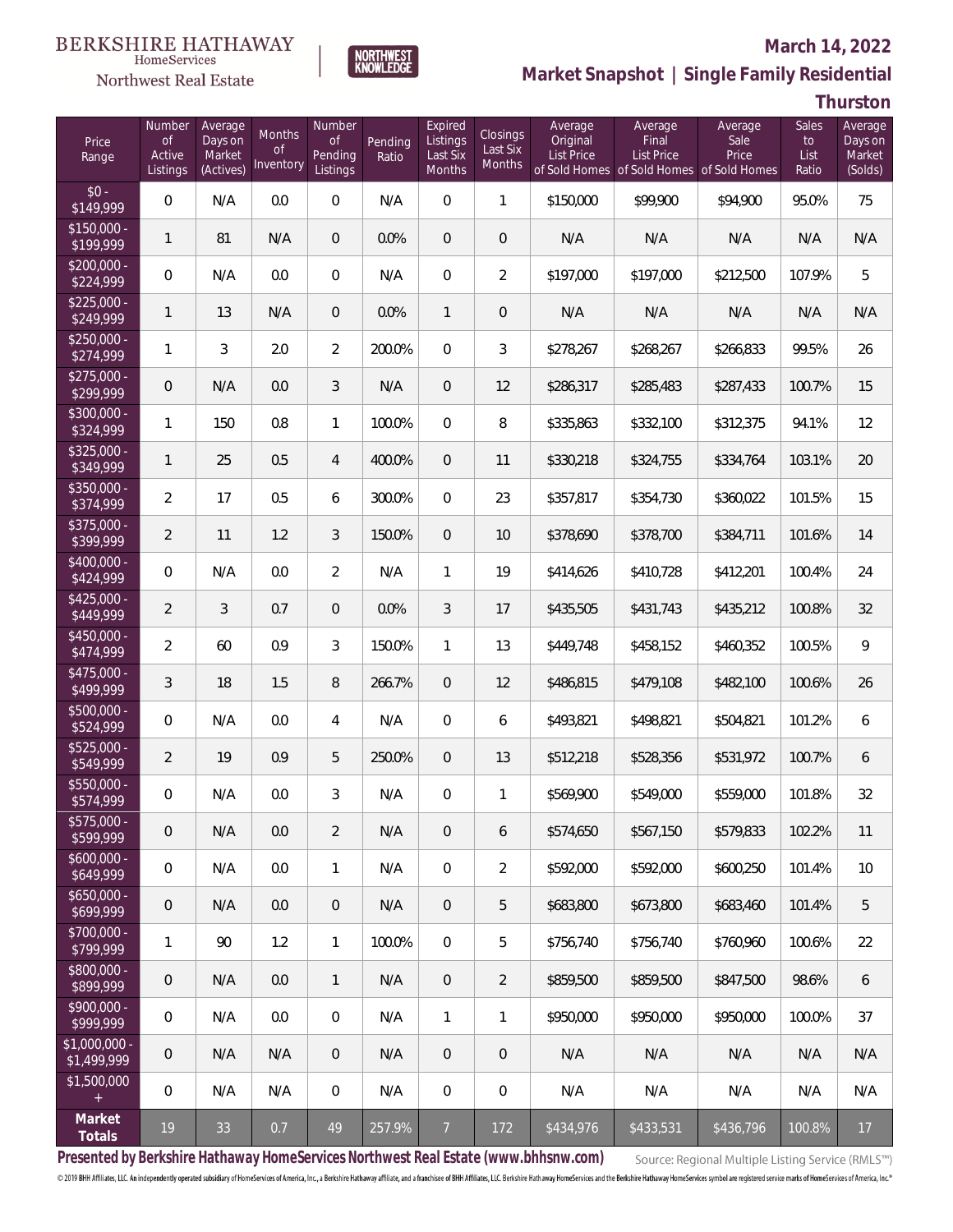### Northwest Real Estate

### **March 14, 2022**



## **Market Snapshot | Single Family Residential**

**Thurston**

| Price<br>Range               | Number<br><b>of</b><br>Active<br>Listings | Average<br>Days on<br>Market<br>(Actives) | <b>Months</b><br>0f<br>Inventory | Number<br>Οf<br>Pending<br>Listings | Pending<br>Ratio | Expired<br>Listings<br>Last Six<br>Months | Closings<br>Last Six<br>Months | Average<br>Original<br>List Price | Average<br>Final<br><b>List Price</b> | Average<br>Sale<br>Price<br>of Sold Homes of Sold Homes of Sold Homes | Sales<br>to<br>List<br>Ratio | Average<br>Days on<br>Market<br>(Solds) |
|------------------------------|-------------------------------------------|-------------------------------------------|----------------------------------|-------------------------------------|------------------|-------------------------------------------|--------------------------------|-----------------------------------|---------------------------------------|-----------------------------------------------------------------------|------------------------------|-----------------------------------------|
| $$0 -$<br>\$149,999          | $\overline{0}$                            | N/A                                       | 0.0                              | $\Omega$                            | N/A              | $\Omega$                                  | $\mathbf{1}$                   | \$150,000                         | \$99,900                              | \$94,900                                                              | 95.0%                        | 75                                      |
| $$150,000 -$<br>\$199,999    | $\mathbf{1}$                              | 81                                        | N/A                              | $\overline{0}$                      | 0.0%             | $\overline{0}$                            | $\overline{0}$                 | N/A                               | N/A                                   | N/A                                                                   | N/A                          | N/A                                     |
| $$200,000 -$<br>\$224,999    | $\overline{0}$                            | N/A                                       | 0.0                              | $\overline{0}$                      | N/A              | $\Omega$                                  | $\overline{2}$                 | \$197,000                         | \$197,000                             | \$212,500                                                             | 107.9%                       | 5                                       |
| $$225,000 -$<br>\$249,999    | $\mathbf{1}$                              | 13                                        | N/A                              | $\overline{0}$                      | 0.0%             | $\mathbf{1}$                              | $\mathbf 0$                    | N/A                               | N/A                                   | N/A                                                                   | N/A                          | N/A                                     |
| $$250,000 -$<br>\$274,999    | $\mathbf{1}$                              | 3                                         | 2.0                              | $\overline{2}$                      | 200.0%           | $\Omega$                                  | 3                              | \$278,267                         | \$268,267                             | \$266,833                                                             | 99.5%                        | 26                                      |
| $$275,000 -$<br>\$299,999    | $\sqrt{0}$                                | N/A                                       | 0.0                              | 3                                   | N/A              | $\overline{0}$                            | 12                             | \$286,317                         | \$285,483                             | \$287,433                                                             | 100.7%                       | 15                                      |
| $$300,000 -$<br>\$324,999    | $\mathbf{1}$                              | 150                                       | 0.8                              | $\mathbf{1}$                        | 100.0%           | $\Omega$                                  | 8                              | \$335,863                         | \$332,100                             | \$312,375                                                             | 94.1%                        | 12                                      |
| $$325,000 -$<br>\$349,999    | $\mathbf{1}$                              | 25                                        | 0.5                              | $\overline{4}$                      | 400.0%           | $\overline{0}$                            | 11                             | \$330,218                         | \$324,755                             | \$334,764                                                             | 103.1%                       | 20                                      |
| $$350,000 -$<br>\$374,999    | $\overline{2}$                            | 17                                        | 0.5                              | 6                                   | 300.0%           | $\Omega$                                  | 23                             | \$357,817                         | \$354,730                             | \$360,022                                                             | 101.5%                       | 15                                      |
| $$375,000 -$<br>\$399,999    | $\overline{2}$                            | 11                                        | 1.2                              | 3                                   | 150.0%           | $\overline{0}$                            | 10                             | \$378,690                         | \$378,700                             | \$384,711                                                             | 101.6%                       | 14                                      |
| \$400,000 -<br>\$424,999     | $\overline{0}$                            | N/A                                       | 0.0                              | $\overline{2}$                      | N/A              | $\mathbf{1}$                              | 19                             | \$414,626                         | \$410,728                             | \$412,201                                                             | 100.4%                       | 24                                      |
| $$425,000 -$<br>\$449,999    | $\overline{2}$                            | 3                                         | 0.7                              | $\overline{0}$                      | 0.0%             | 3                                         | 17                             | \$435,505                         | \$431,743                             | \$435,212                                                             | 100.8%                       | 32                                      |
| $$450,000 -$<br>\$474,999    | $\overline{2}$                            | 60                                        | 0.9                              | 3                                   | 150.0%           | $\mathbf{1}$                              | 13                             | \$449,748                         | \$458,152                             | \$460,352                                                             | 100.5%                       | 9                                       |
| $$475,000 -$<br>\$499,999    | 3                                         | 18                                        | 1.5                              | 8                                   | 266.7%           | $\overline{0}$                            | 12                             | \$486,815                         | \$479,108                             | \$482,100                                                             | 100.6%                       | 26                                      |
| $$500,000 -$<br>\$524,999    | $\overline{0}$                            | N/A                                       | 0.0                              | $\overline{4}$                      | N/A              | $\Omega$                                  | 6                              | \$493,821                         | \$498,821                             | \$504,821                                                             | 101.2%                       | 6                                       |
| $$525,000 -$<br>\$549,999    | $\overline{2}$                            | 19                                        | 0.9                              | 5                                   | 250.0%           | $\Omega$                                  | 13                             | \$512,218                         | \$528,356                             | \$531,972                                                             | 100.7%                       | 6                                       |
| \$550,000 -<br>\$574,999     | $\overline{0}$                            | N/A                                       | 0.0                              | $\mathcal{S}$                       | N/A              | $\overline{0}$                            | $\mathbf{1}$                   | \$569,900                         | \$549,000                             | \$559,000                                                             | 101.8%                       | 32                                      |
| \$575,000 -<br>\$599,999     | 0                                         | N/A                                       | 0.0                              | $\overline{2}$                      | N/A              | $\mathbf 0$                               | 6                              | \$574,650                         | \$567,150                             | \$579,833                                                             | 102.2%                       | 11                                      |
| $$600,000 -$<br>\$649,999    | $\mathbf 0$                               | N/A                                       | 0.0                              | $\mathbf{1}$                        | N/A              | $\mathbf 0$                               | $\overline{2}$                 | \$592,000                         | \$592,000                             | \$600,250                                                             | 101.4%                       | 10                                      |
| $$650,000 -$<br>\$699,999    | $\mathbf 0$                               | N/A                                       | 0.0                              | $\sqrt{0}$                          | N/A              | $\overline{0}$                            | 5                              | \$683,800                         | \$673,800                             | \$683,460                                                             | 101.4%                       | 5                                       |
| \$700,000 -<br>\$799,999     | $\mathbf{1}$                              | 90                                        | 1.2                              | $\mathbf{1}$                        | 100.0%           | $\overline{0}$                            | 5                              | \$756,740                         | \$756,740                             | \$760,960                                                             | 100.6%                       | 22                                      |
| \$800,000 -<br>\$899,999     | 0                                         | N/A                                       | 0.0                              | $\mathbf{1}$                        | N/A              | $\mathbf 0$                               | $\overline{2}$                 | \$859,500                         | \$859,500                             | \$847,500                                                             | 98.6%                        | 6                                       |
| \$900,000 -<br>\$999,999     | $\mathbf 0$                               | N/A                                       | 0.0                              | $\mathbf 0$                         | N/A              | $\mathbf{1}$                              | $\mathbf{1}$                   | \$950,000                         | \$950,000                             | \$950,000                                                             | 100.0%                       | 37                                      |
| \$1,000,000 -<br>\$1,499,999 | 0                                         | N/A                                       | N/A                              | $\sqrt{0}$                          | N/A              | $\overline{0}$                            | $\mathbf 0$                    | N/A                               | N/A                                   | N/A                                                                   | N/A                          | N/A                                     |
| \$1,500,000<br>$\pm$         | $\mathbf 0$                               | N/A                                       | N/A                              | $\mathbf 0$                         | N/A              | $\overline{0}$                            | 0                              | N/A                               | N/A                                   | N/A                                                                   | N/A                          | N/A                                     |
| Market<br>Totals             | 19                                        | 33                                        | 0.7                              | 49                                  | 257.9%           | $\overline{7}$                            | 172                            | \$434,976                         | \$433,531                             | \$436,796                                                             | 100.8%                       | 17                                      |

**Presented by Berkshire Hathaway HomeServices Northwest Real Estate (www.bhhsnw.com)**

Source: Regional Multiple Listing Service (RMLS™)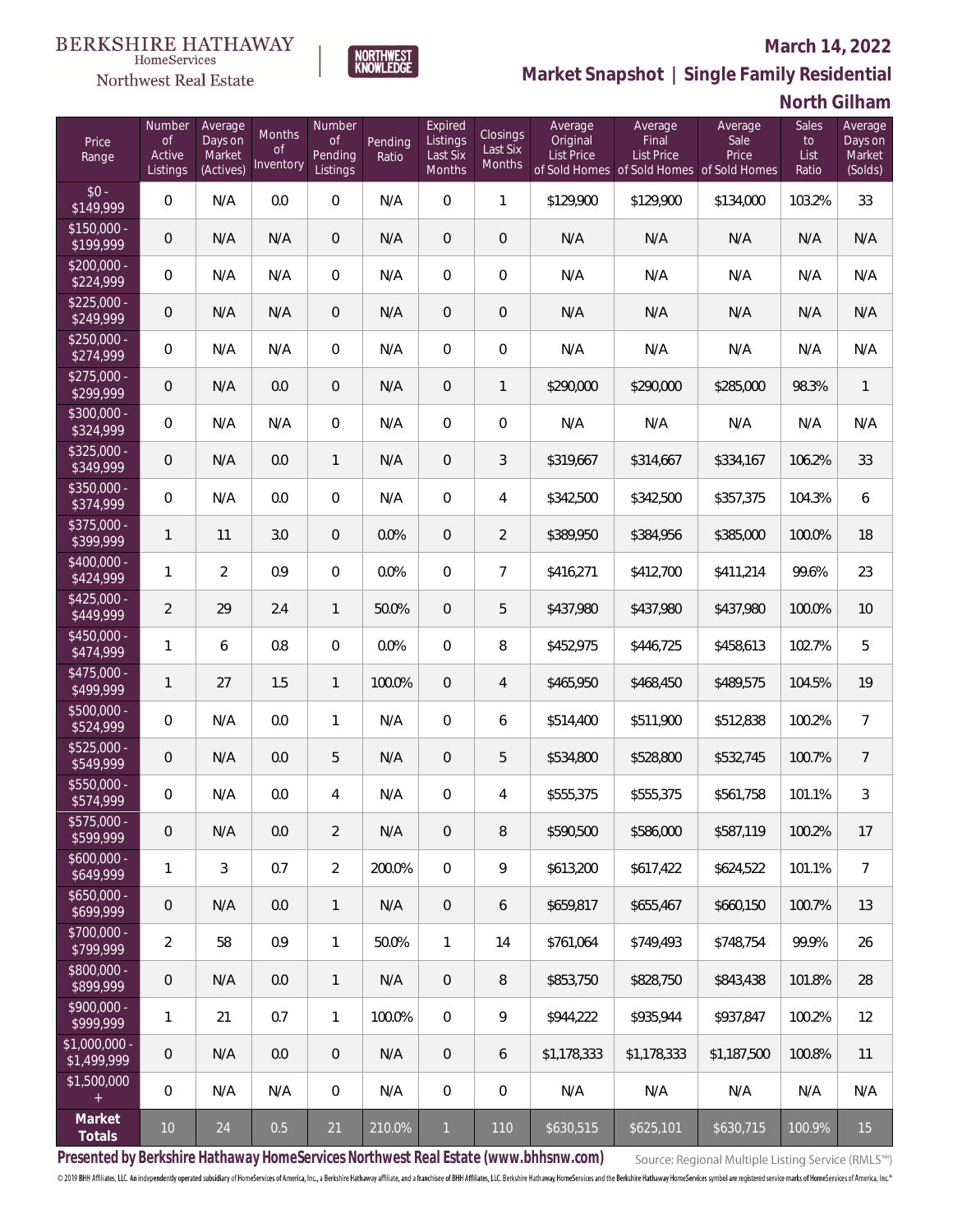### Northwest Real Estate

### **March 14, 2022**



| North Gilham |
|--------------|
|              |

| Price<br>Range                | Number<br><b>of</b><br>Active<br>Listings | Average<br>Days on<br>Market<br>(Actives) | <b>Months</b><br><b>of</b><br>Inventory | Number<br><b>of</b><br>Pending<br>Listings | Pending<br>Ratio | Expired<br>Listings<br>Last Six<br>Months | Closings<br>Last Six<br>Months | Average<br>Original<br><b>List Price</b> | Average<br>Final<br><b>List Price</b><br>of Sold Homes of Sold Homes | Average<br>Sale<br>Price<br>of Sold Homes | <b>Sales</b><br>to<br>List<br>Ratio | Average<br>Days on<br>Market<br>(Solds) |
|-------------------------------|-------------------------------------------|-------------------------------------------|-----------------------------------------|--------------------------------------------|------------------|-------------------------------------------|--------------------------------|------------------------------------------|----------------------------------------------------------------------|-------------------------------------------|-------------------------------------|-----------------------------------------|
| $$0 -$<br>\$149,999           | 0                                         | N/A                                       | 0.0                                     | $\Omega$                                   | N/A              | $\overline{0}$                            | $\mathbf{1}$                   | \$129,900                                | \$129,900                                                            | \$134,000                                 | 103.2%                              | 33                                      |
| $$150,000 -$<br>\$199,999     | 0                                         | N/A                                       | N/A                                     | $\overline{0}$                             | N/A              | $\overline{0}$                            | $\overline{0}$                 | N/A                                      | N/A                                                                  | N/A                                       | N/A                                 | N/A                                     |
| $$200,000 -$<br>\$224,999     | 0                                         | N/A                                       | N/A                                     | $\overline{0}$                             | N/A              | $\overline{0}$                            | $\overline{0}$                 | N/A                                      | N/A                                                                  | N/A                                       | N/A                                 | N/A                                     |
| $$225,000 -$<br>\$249,999     | 0                                         | N/A                                       | N/A                                     | $\overline{0}$                             | N/A              | $\overline{0}$                            | $\overline{0}$                 | N/A                                      | N/A                                                                  | N/A                                       | N/A                                 | N/A                                     |
| $$250,000 -$<br>\$274,999     | 0                                         | N/A                                       | N/A                                     | $\overline{0}$                             | N/A              | $\overline{0}$                            | $\overline{0}$                 | N/A                                      | N/A                                                                  | N/A                                       | N/A                                 | N/A                                     |
| $$275,000 -$<br>\$299,999     | 0                                         | N/A                                       | 0.0                                     | $\overline{0}$                             | N/A              | $\overline{0}$                            | $\mathbf{1}$                   | \$290,000                                | \$290,000                                                            | \$285,000                                 | 98.3%                               | $\mathbf{1}$                            |
| $$300,000 -$<br>\$324,999     | 0                                         | N/A                                       | N/A                                     | $\overline{0}$                             | N/A              | $\overline{0}$                            | 0                              | N/A                                      | N/A                                                                  | N/A                                       | N/A                                 | N/A                                     |
| $$325,000 -$<br>\$349,999     | 0                                         | N/A                                       | 0.0                                     | $\mathbf{1}$                               | N/A              | $\overline{0}$                            | 3                              | \$319,667                                | \$314,667                                                            | \$334,167                                 | 106.2%                              | 33                                      |
| $$350,000 -$<br>\$374,999     | $\overline{0}$                            | N/A                                       | 0.0                                     | $\overline{0}$                             | N/A              | $\overline{0}$                            | 4                              | \$342,500                                | \$342,500                                                            | \$357,375                                 | 104.3%                              | 6                                       |
| $$375,000 -$<br>\$399,999     | $\mathbf{1}$                              | 11                                        | 3.0                                     | $\overline{0}$                             | 0.0%             | $\overline{0}$                            | $\overline{2}$                 | \$389,950                                | \$384,956                                                            | \$385,000                                 | 100.0%                              | 18                                      |
| $$400,000 -$<br>\$424,999     | $\mathbf{1}$                              | $\overline{2}$                            | 0.9                                     | $\Omega$                                   | 0.0%             | $\Omega$                                  | $\overline{7}$                 | \$416,271                                | \$412,700                                                            | \$411,214                                 | 99.6%                               | 23                                      |
| $$425,000 -$<br>\$449,999     | $\overline{2}$                            | 29                                        | 2.4                                     | $\mathbf{1}$                               | 50.0%            | $\overline{0}$                            | 5                              | \$437,980                                | \$437,980                                                            | \$437,980                                 | 100.0%                              | 10                                      |
| $$450,000 -$<br>\$474,999     | $\mathbf{1}$                              | 6                                         | 0.8                                     | $\Omega$                                   | 0.0%             | $\overline{0}$                            | 8                              | \$452,975                                | \$446,725                                                            | \$458,613                                 | 102.7%                              | 5                                       |
| \$475,000 -<br>\$499,999      | $\mathbf{1}$                              | 27                                        | 1.5                                     | $\mathbf{1}$                               | 100.0%           | $\overline{0}$                            | $\overline{4}$                 | \$465,950                                | \$468,450                                                            | \$489,575                                 | 104.5%                              | 19                                      |
| $$500,000 -$<br>\$524,999     | 0                                         | N/A                                       | 0.0                                     | 1                                          | N/A              | $\overline{0}$                            | 6                              | \$514,400                                | \$511,900                                                            | \$512,838                                 | 100.2%                              | $\overline{7}$                          |
| \$525,000 -<br>\$549,999      | 0                                         | N/A                                       | 0.0                                     | 5                                          | N/A              | $\overline{0}$                            | 5                              | \$534,800                                | \$528,800                                                            | \$532,745                                 | 100.7%                              | $\overline{7}$                          |
| $$550,000 -$<br>\$574,999     | 0                                         | N/A                                       | 0.0                                     | 4                                          | N/A              | $\overline{0}$                            | 4                              | \$555,375                                | \$555,375                                                            | \$561,758                                 | 101.1%                              | 3                                       |
| $$575,000 -$<br>\$599,999     | 0                                         | N/A                                       | 0.0                                     | 2                                          | N/A              | $\overline{0}$                            | 8                              | \$590,500                                | \$586,000                                                            | \$587,119                                 | 100.2%                              | 17                                      |
| $$600,000 -$<br>\$649,999     | 1                                         | 3                                         | 0.7                                     | $\overline{2}$                             | 200.0%           | $\overline{0}$                            | 9                              | \$613,200                                | \$617,422                                                            | \$624,522                                 | 101.1%                              | $\overline{7}$                          |
| $$650,000 -$<br>\$699,999     | $\boldsymbol{0}$                          | N/A                                       | 0.0                                     | $\mathbf{1}$                               | N/A              | $\overline{0}$                            | 6                              | \$659,817                                | \$655,467                                                            | \$660,150                                 | 100.7%                              | 13                                      |
| $$700,000 -$<br>\$799,999     | $\overline{2}$                            | 58                                        | 0.9                                     | $\mathbf{1}$                               | 50.0%            | $\mathbf{1}$                              | 14                             | \$761,064                                | \$749,493                                                            | \$748,754                                 | 99.9%                               | 26                                      |
| $$800,000 -$<br>\$899,999     | $\boldsymbol{0}$                          | N/A                                       | 0.0                                     | $\mathbf{1}$                               | N/A              | $\mathbf{0}$                              | 8                              | \$853,750                                | \$828,750                                                            | \$843,438                                 | 101.8%                              | 28                                      |
| $$900,000 -$<br>\$999,999     | 1                                         | 21                                        | 0.7                                     | $\mathbf{1}$                               | 100.0%           | $\overline{0}$                            | 9                              | \$944,222                                | \$935,944                                                            | \$937,847                                 | 100.2%                              | 12                                      |
| $$1,000,000 -$<br>\$1,499,999 | 0                                         | N/A                                       | 0.0                                     | $\overline{0}$                             | N/A              | $\overline{0}$                            | 6                              | \$1,178,333                              | \$1,178,333                                                          | \$1,187,500                               | 100.8%                              | 11                                      |
| \$1,500,000<br>$\pm$          | 0                                         | N/A                                       | N/A                                     | $\mathbf 0$                                | N/A              | $\mathbb O$                               | $\mathbf 0$                    | N/A                                      | N/A                                                                  | N/A                                       | N/A                                 | N/A                                     |
| Market<br>Totals              | 10 <sup>°</sup>                           | 24                                        | 0.5                                     | $21\,$                                     | 210.0%           | $\mathbf{1}$                              | 110                            | \$630,515                                | \$625,101                                                            | \$630,715                                 | 100.9%                              | 15                                      |

NORTHWEST<br>KNOWLEDGE

**Presented by Berkshire Hathaway HomeServices Northwest Real Estate (www.bhhsnw.com)**

Source: Regional Multiple Listing Service (RMLS™)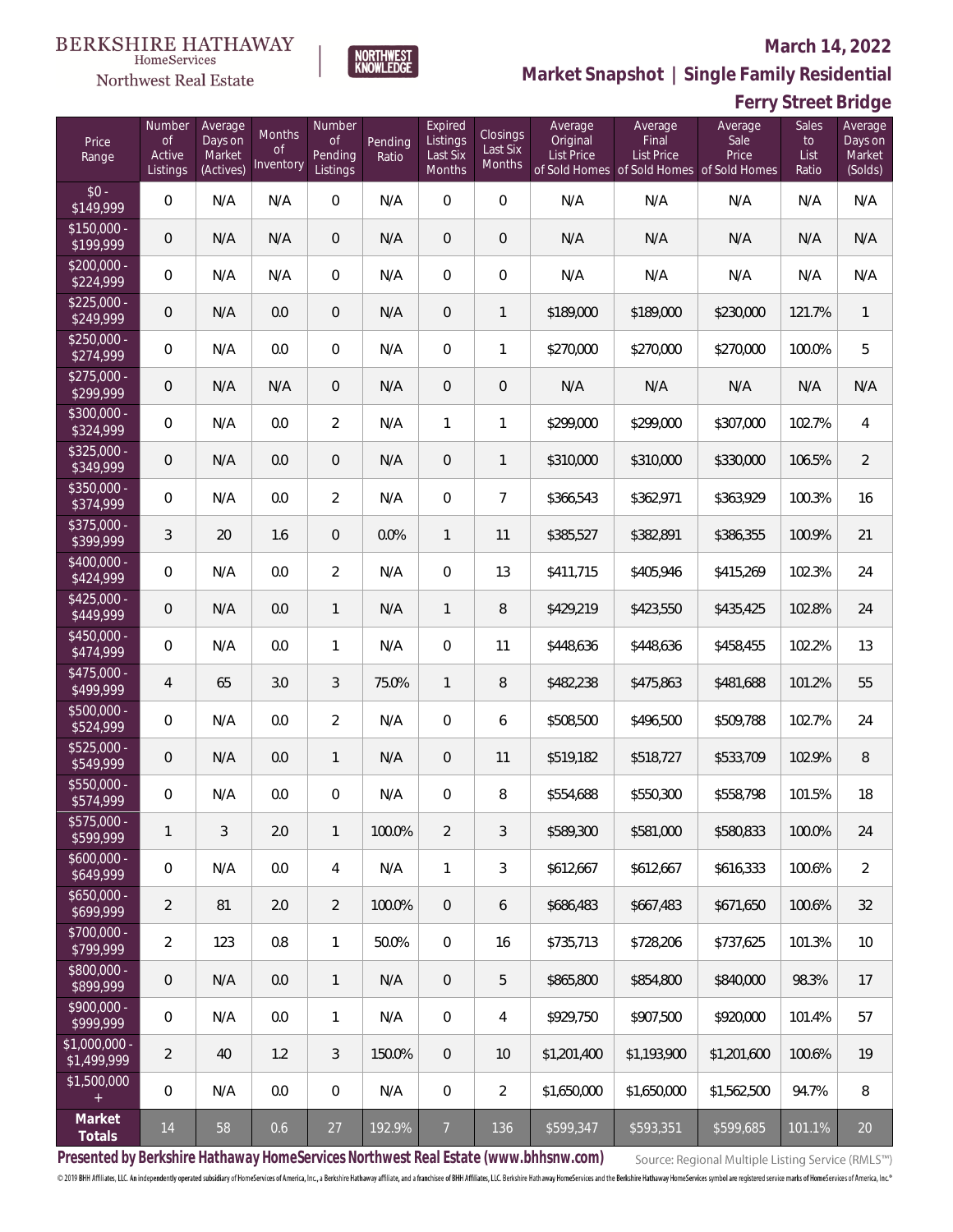### **March 14, 2022**



### Northwest Real Estate

**Market Snapshot | Single Family Residential**

## **Ferry Street Bridge**

| Price<br>Range                                  | Number<br><b>of</b><br>Active<br>Listings | Average<br>Days on<br>Market<br>(Actives) | Months<br><b>of</b><br>Inventory | Number<br><b>of</b><br>Pending<br>Listings | Pending<br>Ratio | Expired<br>Listings<br>Last Six<br>Months | Closings<br>Last Six<br>Months | Average<br>Original<br><b>List Price</b> | Average<br>Final<br><b>List Price</b><br>of Sold Homes of Sold Homes of Sold Homes | Average<br>Sale<br>Price | <b>Sales</b><br>to<br>List<br>Ratio | Average<br>Days on<br>Market<br>(Solds) |
|-------------------------------------------------|-------------------------------------------|-------------------------------------------|----------------------------------|--------------------------------------------|------------------|-------------------------------------------|--------------------------------|------------------------------------------|------------------------------------------------------------------------------------|--------------------------|-------------------------------------|-----------------------------------------|
| $$0 -$<br>\$149,999                             | $\mathbf 0$                               | N/A                                       | N/A                              | $\mathbf 0$                                | N/A              | $\mathbf 0$                               | $\overline{0}$                 | N/A                                      | N/A                                                                                | N/A                      | N/A                                 | N/A                                     |
| $$150,000 -$<br>\$199,999                       | $\mathbf 0$                               | N/A                                       | N/A                              | $\overline{0}$                             | N/A              | $\overline{0}$                            | $\mathbf 0$                    | N/A                                      | N/A                                                                                | N/A                      | N/A                                 | N/A                                     |
| $$200,000 -$<br>\$224,999                       | $\mathbf 0$                               | N/A                                       | N/A                              | $\overline{0}$                             | N/A              | $\overline{0}$                            | $\mathsf{O}\xspace$            | N/A                                      | N/A                                                                                | N/A                      | N/A                                 | N/A                                     |
| $$225,000 -$<br>\$249,999                       | $\,0\,$                                   | N/A                                       | 0.0                              | $\mathbf 0$                                | N/A              | $\boldsymbol{0}$                          | $\mathbf{1}$                   | \$189,000                                | \$189,000                                                                          | \$230,000                | 121.7%                              | $\mathbf{1}$                            |
| $$250,000 -$<br>\$274,999                       | $\mathbf 0$                               | N/A                                       | 0.0                              | $\overline{0}$                             | N/A              | $\mathbf 0$                               | 1                              | \$270,000                                | \$270,000                                                                          | \$270,000                | 100.0%                              | 5                                       |
| $$275,000 -$<br>\$299,999                       | $\mathbf 0$                               | N/A                                       | N/A                              | $\overline{0}$                             | N/A              | $\overline{0}$                            | $\boldsymbol{0}$               | N/A                                      | N/A                                                                                | N/A                      | N/A                                 | N/A                                     |
| \$300,000 -<br>\$324,999                        | $\mathbf 0$                               | N/A                                       | 0.0                              | $\overline{2}$                             | N/A              | $\mathbf{1}$                              | $\mathbf{1}$                   | \$299,000                                | \$299,000                                                                          | \$307,000                | 102.7%                              | $\overline{4}$                          |
| $$325,000 -$<br>\$349,999                       | $\mathbf 0$                               | N/A                                       | 0.0                              | $\overline{0}$                             | N/A              | $\overline{0}$                            | 1                              | \$310,000                                | \$310,000                                                                          | \$330,000                | 106.5%                              | $\overline{2}$                          |
| \$350,000 -<br>\$374,999                        | $\mathbf 0$                               | N/A                                       | 0.0                              | $\overline{2}$                             | N/A              | $\mathbf 0$                               | $\overline{7}$                 | \$366,543                                | \$362,971                                                                          | \$363,929                | 100.3%                              | 16                                      |
| \$375,000 -<br>\$399,999                        | $\mathfrak{Z}$                            | 20                                        | 1.6                              | $\overline{0}$                             | 0.0%             | $\mathbf{1}$                              | 11                             | \$385,527                                | \$382,891                                                                          | \$386,355                | 100.9%                              | 21                                      |
| \$400,000 -<br>\$424,999                        | $\mathbf 0$                               | N/A                                       | 0.0                              | $\overline{2}$                             | N/A              | $\mathbf 0$                               | 13                             | \$411,715                                | \$405,946                                                                          | \$415,269                | 102.3%                              | 24                                      |
| $$425,000 -$<br>\$449,999                       | $\boldsymbol{0}$                          | N/A                                       | 0.0                              | $\mathbf{1}$                               | N/A              | $\mathbf{1}$                              | 8                              | \$429,219                                | \$423,550                                                                          | \$435,425                | 102.8%                              | 24                                      |
| $$450,000 -$<br>\$474,999                       | $\boldsymbol{0}$                          | N/A                                       | 0.0                              | $\mathbf{1}$                               | N/A              | $\overline{0}$                            | 11                             | \$448,636                                | \$448,636                                                                          | \$458,455                | 102.2%                              | 13                                      |
| $$475,000 -$<br>\$499,999                       | 4                                         | 65                                        | 3.0                              | 3                                          | 75.0%            | $\mathbf{1}$                              | 8                              | \$482,238                                | \$475,863                                                                          | \$481,688                | 101.2%                              | 55                                      |
| $$500.000 -$<br>\$524,999                       | 0                                         | N/A                                       | 0.0                              | $\overline{2}$                             | N/A              | $\overline{0}$                            | 6                              | \$508,500                                | \$496,500                                                                          | \$509,788                | 102.7%                              | 24                                      |
| $$525,000 -$<br>\$549,999                       | $\mathbf 0$                               | N/A                                       | 0.0                              | $\mathbf{1}$                               | N/A              | $\overline{0}$                            | 11                             | \$519,182                                | \$518,727                                                                          | \$533,709                | 102.9%                              | $\, 8$                                  |
| $$550.000 -$<br>\$574,999                       | $\boldsymbol{0}$                          | N/A                                       | 0.0                              | $\overline{0}$                             | N/A              | $\overline{0}$                            | 8                              | \$554,688                                | \$550,300                                                                          | \$558,798                | 101.5%                              | 18                                      |
| \$575,000 -<br>\$599,999                        | $\mathbf{1}$                              | 3                                         | 2.0                              | $\mathbf{1}$                               | 100.0%           | $\overline{2}$                            | 3                              | \$589,300                                | \$581,000                                                                          | \$580,833                | 100.0%                              | 24                                      |
| $$600,000 -$<br>\$649,999                       | $\boldsymbol{0}$                          | N/A                                       | 0.0                              | $\overline{4}$                             | N/A              | $\mathbf{1}$                              | 3                              | \$612,667                                | \$612,667                                                                          | \$616,333                | 100.6%                              | $\overline{2}$                          |
| $$650,000 -$<br>\$699,999                       | $\overline{2}$                            | 81                                        | 2.0                              | $\overline{2}$                             | 100.0%           | $\overline{0}$                            | 6                              | \$686,483                                | \$667,483                                                                          | \$671,650                | 100.6%                              | 32                                      |
| \$700,000 -<br>\$799,999                        | $\overline{2}$                            | 123                                       | 0.8                              | $\mathbf{1}$                               | 50.0%            | $\overline{0}$                            | 16                             | \$735,713                                | \$728,206                                                                          | \$737,625                | 101.3%                              | 10                                      |
| \$800,000 -<br>\$899,999                        | 0                                         | N/A                                       | 0.0                              | $\mathbf{1}$                               | N/A              | $\overline{0}$                            | 5                              | \$865,800                                | \$854,800                                                                          | \$840,000                | 98.3%                               | 17                                      |
| \$900,000 -<br>\$999,999                        | 0                                         | N/A                                       | 0.0                              | $\mathbf{1}$                               | N/A              | 0                                         | 4                              | \$929,750                                | \$907,500                                                                          | \$920,000                | 101.4%                              | 57                                      |
| \$1,000,000 -<br>\$1,499,999                    | $\overline{2}$                            | 40                                        | 1.2                              | 3                                          | 150.0%           | $\overline{0}$                            | 10                             | \$1,201,400                              | \$1,193,900                                                                        | \$1,201,600              | 100.6%                              | 19                                      |
| \$1,500,000<br>$\begin{array}{c} + \end{array}$ | $\boldsymbol{0}$                          | N/A                                       | 0.0                              | $\overline{0}$                             | N/A              | 0                                         | $\overline{2}$                 | \$1,650,000                              | \$1,650,000                                                                        | \$1,562,500              | 94.7%                               | 8                                       |
| Market<br>Totals                                | 14                                        | 58                                        | 0.6                              | 27                                         | 192.9%           | $\overline{7}$                            | 136                            | \$599,347                                | \$593,351                                                                          | \$599,685                | 101.1%                              | 20                                      |

**Presented by Berkshire Hathaway HomeServices Northwest Real Estate (www.bhhsnw.com)**

Source: Regional Multiple Listing Service (RMLS™)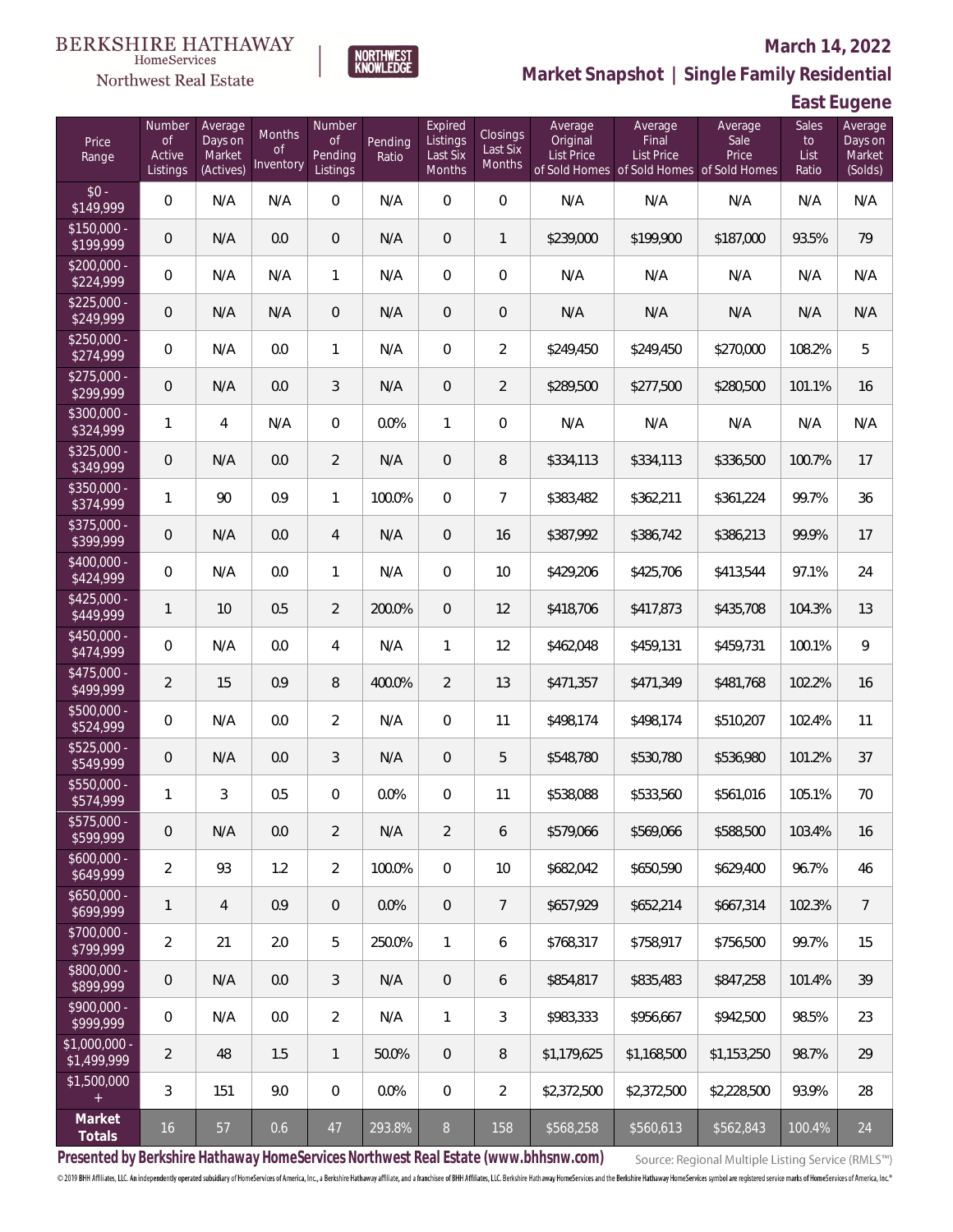

### **March 14, 2022**

**Market Snapshot | Single Family Residential**

## **East Eugene**

| Price<br>Range                | Number<br><b>of</b><br>Active<br>Listings | Average<br>Days on<br>Market<br>(Actives) | Months<br><b>of</b><br>Inventory | Number<br><b>of</b><br>Pending<br>Listings | Pending<br>Ratio | Expired<br>Listings<br>Last Six<br>Months | Closings<br>Last Six<br>Months | Average<br>Original<br>List Price | Average<br>Final<br>List Price<br>of Sold Homes of Sold Homes of Sold Homes | Average<br>Sale<br>Price | Sales<br>to<br>List<br>Ratio | Average<br>Days on<br>Market<br>(Solds) |
|-------------------------------|-------------------------------------------|-------------------------------------------|----------------------------------|--------------------------------------------|------------------|-------------------------------------------|--------------------------------|-----------------------------------|-----------------------------------------------------------------------------|--------------------------|------------------------------|-----------------------------------------|
| $$0 -$<br>\$149,999           | $\overline{0}$                            | N/A                                       | N/A                              | $\overline{0}$                             | N/A              | $\overline{0}$                            | $\overline{0}$                 | N/A                               | N/A                                                                         | N/A                      | N/A                          | N/A                                     |
| $$150,000 -$<br>\$199,999     | $\mathbf 0$                               | N/A                                       | 0.0                              | $\overline{0}$                             | N/A              | $\overline{0}$                            | $\mathbf{1}$                   | \$239,000                         | \$199,900                                                                   | \$187,000                | 93.5%                        | 79                                      |
| $$200,000 -$<br>\$224,999     | $\overline{0}$                            | N/A                                       | N/A                              | $\mathbf{1}$                               | N/A              | $\overline{0}$                            | $\overline{0}$                 | N/A                               | N/A                                                                         | N/A                      | N/A                          | N/A                                     |
| $$225,000 -$<br>\$249,999     | $\mathbf 0$                               | N/A                                       | N/A                              | $\overline{0}$                             | N/A              | 0                                         | $\mathbf 0$                    | N/A                               | N/A                                                                         | N/A                      | N/A                          | N/A                                     |
| $$250,000 -$<br>\$274,999     | $\overline{0}$                            | N/A                                       | 0.0                              | 1                                          | N/A              | $\overline{0}$                            | $\overline{2}$                 | \$249,450                         | \$249,450                                                                   | \$270,000                | 108.2%                       | 5                                       |
| $$275,000 -$<br>\$299,999     | $\overline{0}$                            | N/A                                       | 0.0                              | 3                                          | N/A              | 0                                         | $\overline{2}$                 | \$289,500                         | \$277,500                                                                   | \$280,500                | 101.1%                       | 16                                      |
| $$300,000 -$<br>\$324,999     | 1                                         | $\overline{4}$                            | N/A                              | $\Omega$                                   | 0.0%             | 1                                         | $\overline{0}$                 | N/A                               | N/A                                                                         | N/A                      | N/A                          | N/A                                     |
| $$325,000 -$<br>\$349,999     | $\overline{0}$                            | N/A                                       | 0.0                              | $\overline{2}$                             | N/A              | $\overline{0}$                            | 8                              | \$334,113                         | \$334,113                                                                   | \$336,500                | 100.7%                       | 17                                      |
| $$350,000 -$<br>\$374,999     | 1                                         | 90                                        | 0.9                              | $\mathbf{1}$                               | 100.0%           | $\overline{0}$                            | $\overline{7}$                 | \$383,482                         | \$362,211                                                                   | \$361,224                | 99.7%                        | 36                                      |
| $$375,000 -$<br>\$399,999     | $\mathbf 0$                               | N/A                                       | 0.0                              | $\overline{4}$                             | N/A              | $\overline{0}$                            | 16                             | \$387,992                         | \$386,742                                                                   | \$386,213                | 99.9%                        | 17                                      |
| $$400,000 -$<br>\$424,999     | $\mathbf 0$                               | N/A                                       | 0.0                              | 1                                          | N/A              | $\overline{0}$                            | 10                             | \$429,206                         | \$425,706                                                                   | \$413,544                | 97.1%                        | 24                                      |
| $$425,000 -$<br>\$449,999     | $\mathbf{1}$                              | 10                                        | 0.5                              | $\overline{2}$                             | 200.0%           | $\overline{0}$                            | 12                             | \$418,706                         | \$417,873                                                                   | \$435,708                | 104.3%                       | 13                                      |
| $$450,000 -$<br>\$474,999     | $\overline{0}$                            | N/A                                       | 0.0                              | $\overline{4}$                             | N/A              | 1                                         | 12                             | \$462,048                         | \$459,131                                                                   | \$459,731                | 100.1%                       | 9                                       |
| $$475,000 -$<br>\$499,999     | $\overline{2}$                            | 15                                        | 0.9                              | 8                                          | 400.0%           | $\overline{2}$                            | 13                             | \$471,357                         | \$471,349                                                                   | \$481,768                | 102.2%                       | 16                                      |
| $$500,000 -$<br>\$524,999     | $\overline{0}$                            | N/A                                       | 0.0                              | $\overline{2}$                             | N/A              | $\Omega$                                  | 11                             | \$498,174                         | \$498,174                                                                   | \$510,207                | 102.4%                       | 11                                      |
| $$525,000 -$<br>\$549,999     | $\overline{0}$                            | N/A                                       | 0.0                              | 3                                          | N/A              | $\overline{0}$                            | 5                              | \$548,780                         | \$530,780                                                                   | \$536,980                | 101.2%                       | 37                                      |
| $$550,000 -$<br>\$574,999     | $\mathbf{1}$                              | 3                                         | 0.5                              | $\Omega$                                   | 0.0%             | $\overline{0}$                            | 11                             | \$538,088                         | \$533,560                                                                   | \$561,016                | 105.1%                       | 70                                      |
| \$575,000 -<br>\$599,999      | 0                                         | N/A                                       | $0.0\,$                          | $\overline{2}$                             | N/A              | $\overline{2}$                            | 6                              | \$579,066                         | \$569,066                                                                   | \$588,500                | 103.4%                       | 16                                      |
| $$600,000 -$<br>\$649,999     | $\overline{2}$                            | 93                                        | 1.2                              | $\overline{2}$                             | 100.0%           | $\overline{0}$                            | 10                             | \$682,042                         | \$650,590                                                                   | \$629,400                | 96.7%                        | 46                                      |
| $$650,000 -$<br>\$699,999     | $\mathbf{1}$                              | $\overline{4}$                            | 0.9                              | $\overline{0}$                             | 0.0%             | $\mathbf 0$                               | $\overline{7}$                 | \$657,929                         | \$652,214                                                                   | \$667,314                | 102.3%                       | $7\phantom{.0}$                         |
| \$700,000 -<br>\$799,999      | $\overline{2}$                            | 21                                        | 2.0                              | 5                                          | 250.0%           | 1                                         | 6                              | \$768,317                         | \$758,917                                                                   | \$756,500                | 99.7%                        | 15                                      |
| \$800,000 -<br>\$899,999      | 0                                         | N/A                                       | 0.0                              | 3                                          | N/A              | $\overline{0}$                            | 6                              | \$854,817                         | \$835,483                                                                   | \$847,258                | 101.4%                       | 39                                      |
| \$900,000 -<br>\$999,999      | 0                                         | N/A                                       | 0.0                              | $\overline{2}$                             | N/A              | $\mathbf{1}$                              | 3                              | \$983,333                         | \$956,667                                                                   | \$942,500                | 98.5%                        | 23                                      |
| $$1,000,000$ -<br>\$1,499,999 | 2                                         | 48                                        | 1.5                              | $\mathbf{1}$                               | 50.0%            | $\overline{0}$                            | 8                              | \$1,179,625                       | \$1,168,500                                                                 | \$1,153,250              | 98.7%                        | 29                                      |
| \$1,500,000<br>$+$            | 3                                         | 151                                       | 9.0                              | $\overline{0}$                             | 0.0%             | $\overline{0}$                            | $\overline{2}$                 | \$2,372,500                       | \$2,372,500                                                                 | \$2,228,500              | 93.9%                        | 28                                      |
| Market<br>Totals              | $16$                                      | 57                                        | 0.6                              | $47\,$                                     | 293.8%           | 8                                         | 158                            | \$568,258                         | \$560,613                                                                   | \$562,843                | 100.4%                       | 24                                      |

**NORTHWEST**<br>KNOWLEDGE

**Presented by Berkshire Hathaway HomeServices Northwest Real Estate (www.bhhsnw.com)**

Source: Regional Multiple Listing Service (RMLS™)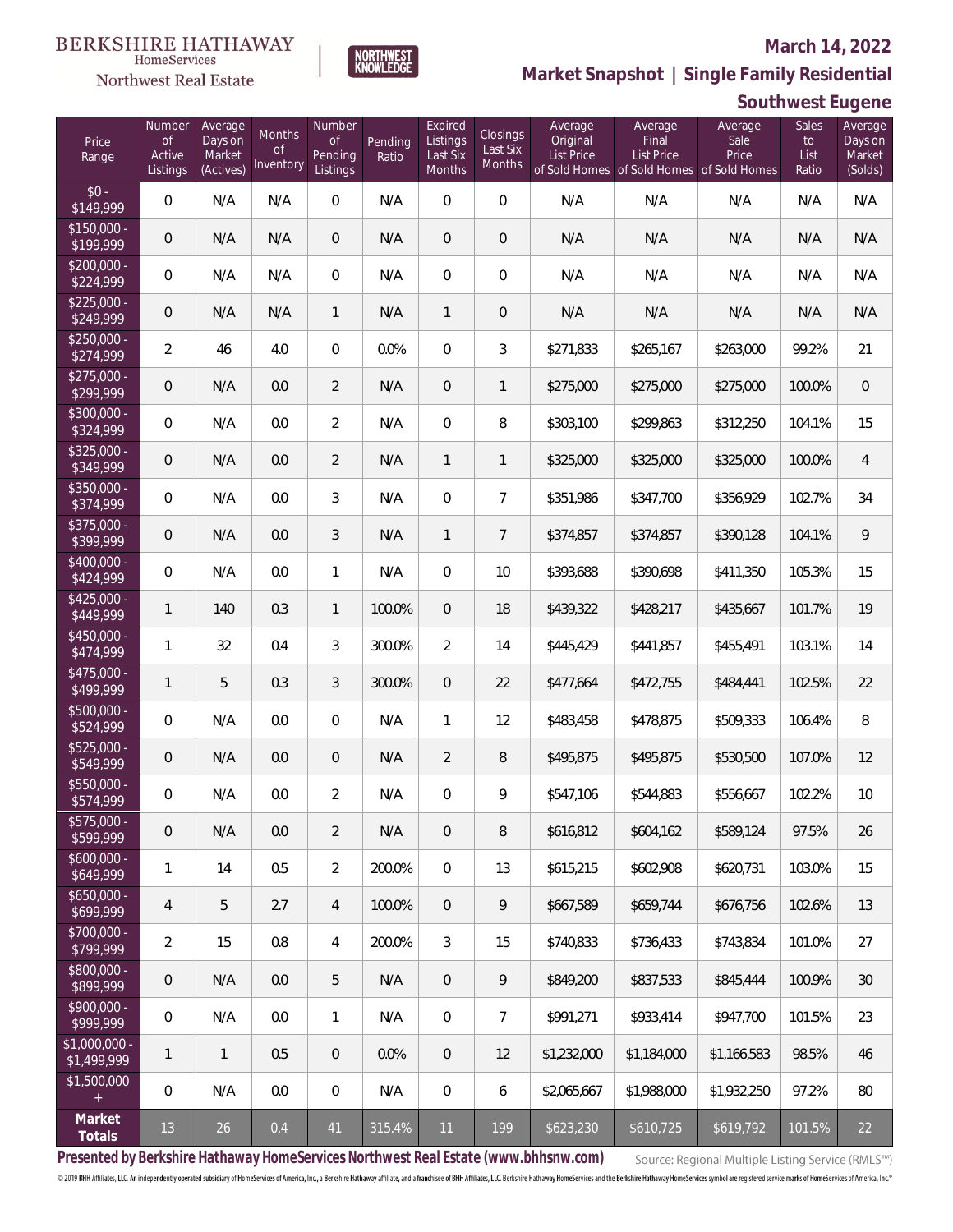### **March 14, 2022**



**Market Snapshot | Single Family Residential**

### HomeServices Northwest Real Estate

|                                       |                                    |                                           |                                  |                                            |                  |                                           |                                |                                          |                                                                                    |                          | Southwest Eugene             |                                         |
|---------------------------------------|------------------------------------|-------------------------------------------|----------------------------------|--------------------------------------------|------------------|-------------------------------------------|--------------------------------|------------------------------------------|------------------------------------------------------------------------------------|--------------------------|------------------------------|-----------------------------------------|
| Price<br>Range                        | Number<br>0f<br>Active<br>Listings | Average<br>Days on<br>Market<br>(Actives) | Months<br><b>of</b><br>Inventory | Number<br><b>of</b><br>Pending<br>Listings | Pending<br>Ratio | Expired<br>Listings<br>Last Six<br>Months | Closings<br>Last Six<br>Months | Average<br>Original<br><b>List Price</b> | Average<br>Final<br><b>List Price</b><br>of Sold Homes of Sold Homes of Sold Homes | Average<br>Sale<br>Price | Sales<br>to<br>List<br>Ratio | Average<br>Days on<br>Market<br>(Solds) |
| $$0 -$<br>\$149,999                   | $\boldsymbol{0}$                   | N/A                                       | N/A                              | 0                                          | N/A              | $\overline{0}$                            | $\mathbf 0$                    | N/A                                      | N/A                                                                                | N/A                      | N/A                          | N/A                                     |
| $$150,000 -$<br>\$199,999             | $\mathbf 0$                        | N/A                                       | N/A                              | $\mathbf 0$                                | N/A              | $\overline{0}$                            | $\boldsymbol{0}$               | N/A                                      | N/A                                                                                | N/A                      | N/A                          | N/A                                     |
| $$200,000 -$<br>\$224,999             | $\mathbf 0$                        | N/A                                       | N/A                              | $\mathbf 0$                                | N/A              | $\overline{0}$                            | $\boldsymbol{0}$               | N/A                                      | N/A                                                                                | N/A                      | N/A                          | N/A                                     |
| $$225,000 -$<br>\$249,999             | $\overline{0}$                     | N/A                                       | N/A                              | $\mathbf{1}$                               | N/A              | $\mathbf{1}$                              | $\mathbf 0$                    | N/A                                      | N/A                                                                                | N/A                      | N/A                          | N/A                                     |
| $$250,000 -$<br>$\overline{$274,999}$ | $\overline{2}$                     | 46                                        | 4.0                              | $\overline{0}$                             | 0.0%             | $\overline{0}$                            | 3                              | \$271,833                                | \$265,167                                                                          | \$263,000                | 99.2%                        | 21                                      |
| $$275,000 -$<br>\$299,999             | $\mathbf 0$                        | N/A                                       | 0.0                              | $\overline{2}$                             | N/A              | $\overline{0}$                            | 1                              | \$275,000                                | \$275,000                                                                          | \$275,000                | 100.0%                       | $\,0\,$                                 |
| $$300,000 -$<br>\$324,999             | 0                                  | N/A                                       | 0.0                              | $\overline{2}$                             | N/A              | $\overline{0}$                            | 8                              | \$303,100                                | \$299,863                                                                          | \$312,250                | 104.1%                       | 15                                      |
| $$325,000 -$<br>\$349,999             | $\mathbf 0$                        | N/A                                       | 0.0                              | $\overline{2}$                             | N/A              | $\mathbf{1}$                              | 1                              | \$325,000                                | \$325,000                                                                          | \$325,000                | 100.0%                       | $\overline{4}$                          |
| $$350,000 -$<br>\$374,999             | 0                                  | N/A                                       | 0.0                              | 3                                          | N/A              | $\overline{0}$                            | 7                              | \$351,986                                | \$347,700                                                                          | \$356,929                | 102.7%                       | 34                                      |
| $$375,000 -$<br>\$399,999             | $\mathbf 0$                        | N/A                                       | 0.0                              | 3                                          | N/A              | 1                                         | 7                              | \$374,857                                | \$374,857                                                                          | \$390,128                | 104.1%                       | $\mathsf q$                             |
| $$400,000 -$<br>\$424,999             | $\mathbf 0$                        | N/A                                       | 0.0                              | 1                                          | N/A              | $\overline{0}$                            | 10                             | \$393,688                                | \$390,698                                                                          | \$411,350                | 105.3%                       | 15                                      |
| $$425,000 -$<br>\$449,999             | $\mathbf{1}$                       | 140                                       | 0.3                              | $\mathbf{1}$                               | 100.0%           | $\overline{0}$                            | 18                             | \$439,322                                | \$428,217                                                                          | \$435,667                | 101.7%                       | 19                                      |
| $$450,000 -$<br>\$474,999             | $\mathbf{1}$                       | 32                                        | 0.4                              | 3                                          | 300.0%           | $\overline{2}$                            | 14                             | \$445,429                                | \$441,857                                                                          | \$455,491                | 103.1%                       | 14                                      |
| $$475,000 -$<br>\$499,999             | $\mathbf{1}$                       | 5                                         | 0.3                              | 3                                          | 300.0%           | $\overline{0}$                            | 22                             | \$477,664                                | \$472,755                                                                          | \$484,441                | 102.5%                       | 22                                      |
| $$500,000 -$<br>\$524,999             | 0                                  | N/A                                       | 0.0                              | 0                                          | N/A              | 1                                         | 12                             | \$483,458                                | \$478,875                                                                          | \$509,333                | 106.4%                       | 8                                       |
| $$525,000 -$<br>\$549,999             | $\mathbf 0$                        | N/A                                       | 0.0                              | 0                                          | N/A              | $\overline{2}$                            | 8                              | \$495,875                                | \$495,875                                                                          | \$530,500                | 107.0%                       | 12                                      |
| \$550,000 -<br>\$574,999              | $\mathbf 0$                        | N/A                                       | 0.0                              | 2                                          | N/A              | 0                                         | 9                              | \$547,106                                | \$544,883                                                                          | \$556,667                | 102.2%                       | 10                                      |
| \$575,000 -<br>\$599,999              | $\theta$                           | N/A                                       | 0.0                              | $\overline{2}$                             | N/A              | $\mathbf{0}$                              | 8                              | \$616,812                                | \$604,162                                                                          | \$589,124                | 97.5%                        | 26                                      |
| $$600,000 -$<br>\$649,999             | $\mathbf{1}$                       | 14                                        | 0.5                              | $\overline{2}$                             | 200.0%           | $\mathbf{0}$                              | 13                             | \$615,215                                | \$602,908                                                                          | \$620,731                | 103.0%                       | 15                                      |
| $$650,000 -$<br>\$699,999             | $\overline{4}$                     | 5                                         | 2.7                              | 4                                          | 100.0%           | $\mathbf{0}$                              | 9                              | \$667,589                                | \$659,744                                                                          | \$676,756                | 102.6%                       | 13                                      |
| \$700,000 -<br>\$799,999              | $\overline{2}$                     | 15                                        | 0.8                              | 4                                          | 200.0%           | 3                                         | 15                             | \$740,833                                | \$736.433                                                                          | \$743,834                | 101.0%                       | 27                                      |
| \$800,000 -<br>\$899,999              | $\mathbf 0$                        | N/A                                       | 0.0                              | 5                                          | N/A              | $\overline{0}$                            | 9                              | \$849,200                                | \$837,533                                                                          | \$845,444                | 100.9%                       | 30                                      |
| $$900,000 -$<br>\$999,999             | $\mathbf 0$                        | N/A                                       | 0.0                              | 1                                          | N/A              | $\overline{0}$                            | 7                              | \$991,271                                | \$933,414                                                                          | \$947,700                | 101.5%                       | 23                                      |
| $$1,000,000 -$<br>\$1,499,999         | $\mathbf{1}$                       | $\mathbf{1}$                              | 0.5                              | $\mathbf 0$                                | 0.0%             | $\overline{0}$                            | 12                             | \$1,232,000                              | \$1,184,000                                                                        | \$1,166,583              | 98.5%                        | 46                                      |
| \$1,500,000<br>$+$                    | $\mathbf 0$                        | N/A                                       | 0.0                              | 0                                          | N/A              | $\overline{0}$                            | 6                              | \$2,065,667                              | \$1,988,000                                                                        | \$1,932,250              | 97.2%                        | 80                                      |
| Market<br>Totals                      | 13                                 | 26                                        | 0.4                              | 41                                         | 315.4%           | 11                                        | 199                            | \$623,230                                | \$610,725                                                                          | \$619,792                | 101.5%                       | 22                                      |

**Presented by Berkshire Hathaway HomeServices Northwest Real Estate (www.bhhsnw.com)**

Source: Regional Multiple Listing Service (RMLS™)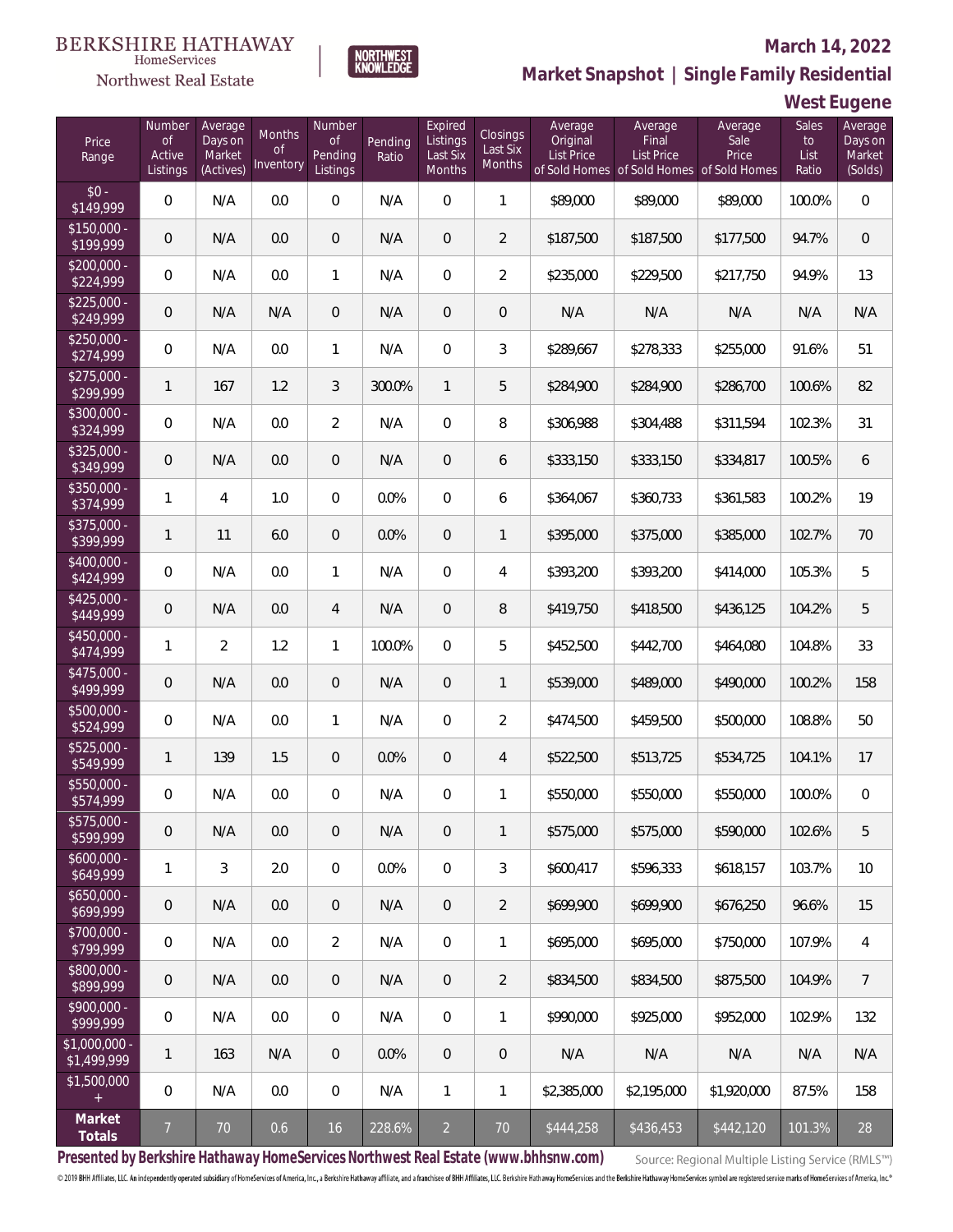

### **March 14, 2022**

**Market Snapshot | Single Family Residential**

## **West Eugene**

| Price<br>Range                | Number<br><b>of</b><br>Active<br>Listings | Average<br>Days on<br>Market<br>(Actives) | Months<br><b>of</b><br>Inventory | Number<br>$\mathsf{of}$<br>Pending<br>Listings | Pending<br>Ratio | Expired<br>Listings<br>Last Six<br>Months | Closings<br>Last Six<br>Months | Average<br>Original<br>List Price | Average<br>Final<br><b>List Price</b><br>of Sold Homes of Sold Homes of Sold Homes | Average<br>Sale<br>Price | Sales<br>to<br>List<br>Ratio | Average<br>Days on<br>Market<br>(Solds) |
|-------------------------------|-------------------------------------------|-------------------------------------------|----------------------------------|------------------------------------------------|------------------|-------------------------------------------|--------------------------------|-----------------------------------|------------------------------------------------------------------------------------|--------------------------|------------------------------|-----------------------------------------|
| $$0 -$<br>\$149,999           | $\overline{0}$                            | N/A                                       | 0.0                              | $\overline{0}$                                 | N/A              | $\overline{0}$                            | 1                              | \$89,000                          | \$89,000                                                                           | \$89,000                 | 100.0%                       | $\overline{0}$                          |
| $$150,000 -$<br>\$199,999     | $\overline{0}$                            | N/A                                       | 0.0                              | $\overline{0}$                                 | N/A              | $\overline{0}$                            | $\overline{2}$                 | \$187,500                         | \$187,500                                                                          | \$177,500                | 94.7%                        | $\overline{0}$                          |
| $$200,000 -$<br>\$224,999     | $\overline{0}$                            | N/A                                       | 0.0                              | 1                                              | N/A              | $\overline{0}$                            | $\overline{2}$                 | \$235,000                         | \$229,500                                                                          | \$217,750                | 94.9%                        | 13                                      |
| $$225,000 -$<br>\$249,999     | $\overline{0}$                            | N/A                                       | N/A                              | $\overline{0}$                                 | N/A              | $\overline{0}$                            | 0                              | N/A                               | N/A                                                                                | N/A                      | N/A                          | N/A                                     |
| $$250,000 -$<br>\$274,999     | $\overline{0}$                            | N/A                                       | 0.0                              | $\mathbf{1}$                                   | N/A              | $\overline{0}$                            | 3                              | \$289,667                         | \$278,333                                                                          | \$255,000                | 91.6%                        | 51                                      |
| $$275,000 -$<br>\$299,999     | $\mathbf{1}$                              | 167                                       | 1.2                              | 3                                              | 300.0%           | 1                                         | 5                              | \$284,900                         | \$284,900                                                                          | \$286,700                | 100.6%                       | 82                                      |
| $$300,000 -$<br>\$324,999     | $\overline{0}$                            | N/A                                       | 0.0                              | $\overline{2}$                                 | N/A              | $\overline{0}$                            | 8                              | \$306,988                         | \$304,488                                                                          | \$311,594                | 102.3%                       | 31                                      |
| $$325,000 -$<br>\$349,999     | $\overline{0}$                            | N/A                                       | 0.0                              | $\overline{0}$                                 | N/A              | $\overline{0}$                            | 6                              | \$333,150                         | \$333,150                                                                          | \$334,817                | 100.5%                       | 6                                       |
| $$350,000 -$<br>\$374,999     | 1                                         | 4                                         | 1.0                              | $\overline{0}$                                 | 0.0%             | $\overline{0}$                            | 6                              | \$364,067                         | \$360,733                                                                          | \$361,583                | 100.2%                       | 19                                      |
| $$375,000 -$<br>\$399,999     | $\mathbf{1}$                              | 11                                        | 6.0                              | $\overline{0}$                                 | 0.0%             | $\overline{0}$                            | 1                              | \$395,000                         | \$375,000                                                                          | \$385,000                | 102.7%                       | 70                                      |
| $$400,000 -$<br>\$424,999     | $\overline{0}$                            | N/A                                       | 0.0                              | 1                                              | N/A              | $\overline{0}$                            | 4                              | \$393,200                         | \$393,200                                                                          | \$414,000                | 105.3%                       | 5                                       |
| $$425,000 -$<br>\$449,999     | $\mathbf 0$                               | N/A                                       | 0.0                              | 4                                              | N/A              | $\overline{0}$                            | 8                              | \$419,750                         | \$418,500                                                                          | \$436,125                | 104.2%                       | 5                                       |
| $$450,000 -$<br>\$474,999     | $\mathbf{1}$                              | $\overline{2}$                            | 1.2                              | $\mathbf{1}$                                   | 100.0%           | $\Omega$                                  | 5                              | \$452,500                         | \$442,700                                                                          | \$464,080                | 104.8%                       | 33                                      |
| $$475,000 -$<br>\$499,999     | $\mathbf 0$                               | N/A                                       | 0.0                              | $\overline{0}$                                 | N/A              | $\overline{0}$                            | 1                              | \$539,000                         | \$489,000                                                                          | \$490,000                | 100.2%                       | 158                                     |
| $$500,000 -$<br>\$524,999     | $\overline{0}$                            | N/A                                       | 0.0                              | $\mathbf{1}$                                   | N/A              | $\overline{0}$                            | $\overline{2}$                 | \$474,500                         | \$459,500                                                                          | \$500,000                | 108.8%                       | 50                                      |
| \$525,000 -<br>\$549,999      | $\mathbf{1}$                              | 139                                       | 1.5                              | $\overline{0}$                                 | 0.0%             | $\overline{0}$                            | 4                              | \$522,500                         | \$513,725                                                                          | \$534,725                | 104.1%                       | 17                                      |
| \$550,000 -<br>\$574,999      | 0                                         | N/A                                       | 0.0                              | $\overline{0}$                                 | N/A              | 0                                         | 1                              | \$550,000                         | \$550,000                                                                          | \$550,000                | 100.0%                       | $\mathbf 0$                             |
| \$575,000 -<br>\$599,999      | 0                                         | N/A                                       | 0.0                              | 0                                              | N/A              | 0                                         | 1                              | \$575,000                         | \$575,000                                                                          | \$590,000                | 102.6%                       | 5                                       |
| $$600,000 -$<br>\$649,999     | 1                                         | 3                                         | 2.0                              | $\mathbf 0$                                    | 0.0%             | $\mathbf 0$                               | 3                              | \$600,417                         | \$596,333                                                                          | \$618,157                | 103.7%                       | 10                                      |
| $$650,000 -$<br>\$699,999     | $\boldsymbol{0}$                          | N/A                                       | 0.0                              | $\mathbf 0$                                    | N/A              | $\mathbf 0$                               | $\overline{2}$                 | \$699,900                         | \$699,900                                                                          | \$676,250                | 96.6%                        | 15                                      |
| \$700,000 -<br>\$799,999      | $\overline{0}$                            | N/A                                       | 0.0                              | $\overline{2}$                                 | N/A              | $\mathbf 0$                               | 1                              | \$695,000                         | \$695,000                                                                          | \$750,000                | 107.9%                       | $\overline{4}$                          |
| \$800,000 -<br>\$899,999      | 0                                         | N/A                                       | 0.0                              | $\sqrt{0}$                                     | N/A              | $\overline{0}$                            | $\overline{2}$                 | \$834,500                         | \$834,500                                                                          | \$875,500                | 104.9%                       | 7                                       |
| \$900,000 -<br>\$999,999      | 0                                         | N/A                                       | 0.0                              | $\mathbf 0$                                    | N/A              | $\overline{0}$                            | 1                              | \$990,000                         | \$925,000                                                                          | \$952,000                | 102.9%                       | 132                                     |
| $$1,000,000$ -<br>\$1,499,999 | 1                                         | 163                                       | N/A                              | $\overline{0}$                                 | 0.0%             | $\boldsymbol{0}$                          | 0                              | N/A                               | N/A                                                                                | N/A                      | N/A                          | N/A                                     |
| \$1,500,000<br>$+$            | $\overline{0}$                            | N/A                                       | 0.0                              | $\boldsymbol{0}$                               | N/A              | 1                                         | 1                              | \$2,385,000                       | \$2,195,000                                                                        | \$1,920,000              | 87.5%                        | 158                                     |
| Market<br>Totals              | $\overline{7}$                            | $70\,$                                    | 0.6                              | 16                                             | 228.6%           | $\overline{a}$                            | $70\,$                         | \$444,258                         | \$436,453                                                                          | \$442,120                | 101.3%                       | 28                                      |

**NORTHWEST**<br>KNOWLEDGE

**Presented by Berkshire Hathaway HomeServices Northwest Real Estate (www.bhhsnw.com)**

Source: Regional Multiple Listing Service (RMLS™)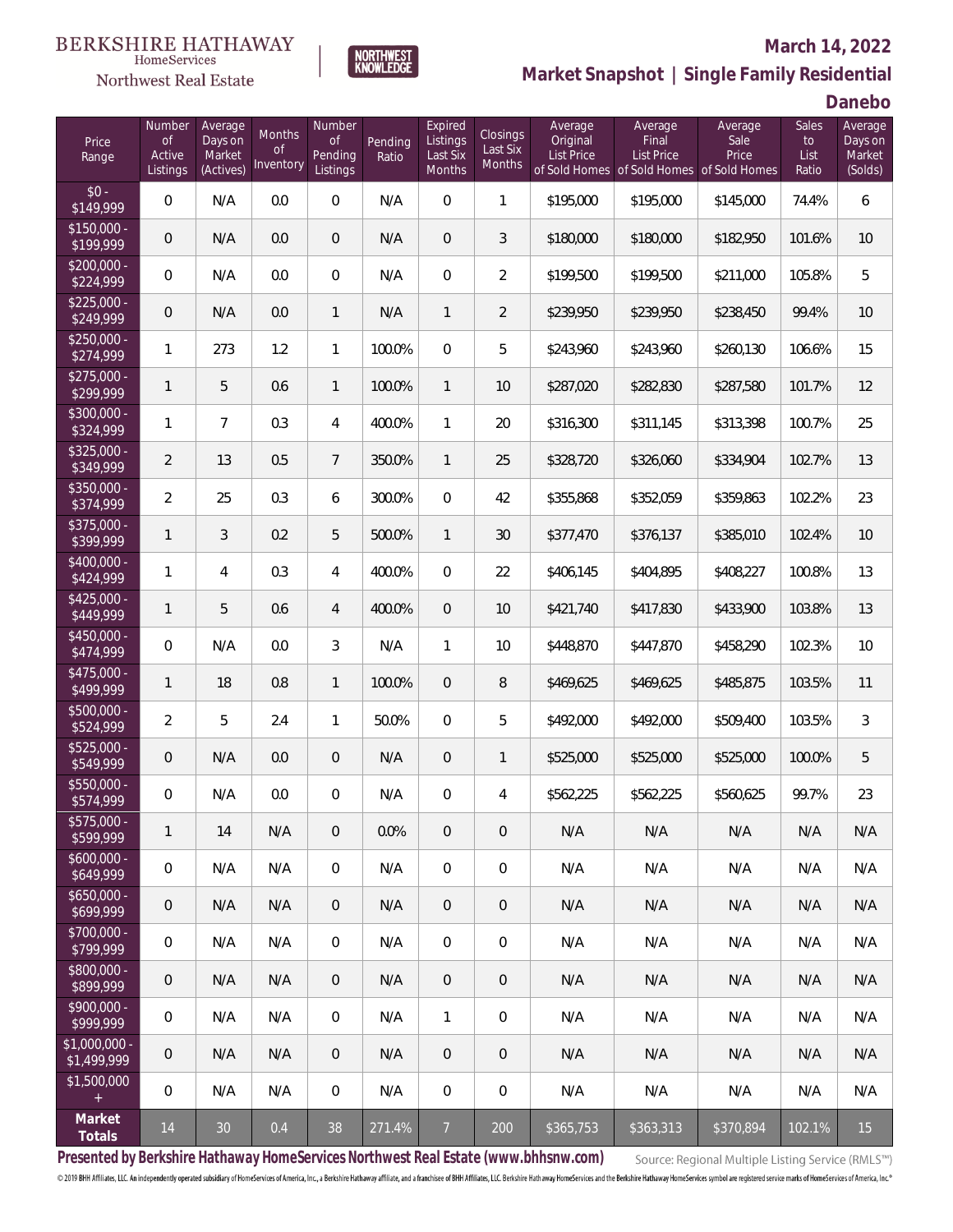

### **March 14, 2022**



**Danebo**

| Price<br>Range               | Number<br><b>of</b><br>Active<br>Listings | Average<br>Days on<br>Market<br>(Actives) | Months<br><b>of</b><br>Inventory | Number<br>0f<br>Pending<br>Listings | Pending<br>Ratio | Expired<br>Listings<br>Last Six<br>Months | Closings<br>Last Six<br>Months | Average<br>Original<br><b>List Price</b> | Average<br>Final<br><b>List Price</b> | Average<br>Sale<br>Price<br>of Sold Homes of Sold Homes of Sold Homes | <b>Sales</b><br>to<br>List<br>Ratio | Average<br>Days on<br>Market<br>(Solds) |
|------------------------------|-------------------------------------------|-------------------------------------------|----------------------------------|-------------------------------------|------------------|-------------------------------------------|--------------------------------|------------------------------------------|---------------------------------------|-----------------------------------------------------------------------|-------------------------------------|-----------------------------------------|
| $$0 -$<br>\$149,999          | $\mathbf 0$                               | N/A                                       | 0.0                              | $\boldsymbol{0}$                    | N/A              | $\mathbf 0$                               | $\mathbf{1}$                   | \$195,000                                | \$195,000                             | \$145,000                                                             | 74.4%                               | 6                                       |
| $$150,000 -$<br>\$199,999    | 0                                         | N/A                                       | 0.0                              | $\mathbf 0$                         | N/A              | $\overline{0}$                            | 3                              | \$180,000                                | \$180,000                             | \$182,950                                                             | 101.6%                              | 10                                      |
| \$200,000 -<br>\$224,999     | $\mathbf 0$                               | N/A                                       | 0.0                              | $\overline{0}$                      | N/A              | $\overline{0}$                            | $\overline{2}$                 | \$199,500                                | \$199,500                             | \$211,000                                                             | 105.8%                              | 5                                       |
| $$225,000 -$<br>\$249,999    | $\theta$                                  | N/A                                       | 0.0                              | $\mathbf{1}$                        | N/A              | $\mathbf{1}$                              | $\overline{2}$                 | \$239,950                                | \$239,950                             | \$238,450                                                             | 99.4%                               | 10                                      |
| $$250,000 -$<br>\$274,999    | 1                                         | 273                                       | 1.2                              | $\mathbf{1}$                        | 100.0%           | $\overline{0}$                            | 5                              | \$243,960                                | \$243,960                             | \$260,130                                                             | 106.6%                              | 15                                      |
| $$275,000 -$<br>\$299,999    | 1                                         | 5                                         | 0.6                              | $\mathbf{1}$                        | 100.0%           | $\mathbf{1}$                              | 10                             | \$287,020                                | \$282,830                             | \$287,580                                                             | 101.7%                              | 12                                      |
| $$300,000 -$<br>\$324,999    | 1                                         | $\overline{7}$                            | 0.3                              | 4                                   | 400.0%           | $\mathbf{1}$                              | 20                             | \$316,300                                | \$311,145                             | \$313,398                                                             | 100.7%                              | 25                                      |
| $$325.000 -$<br>\$349,999    | $\overline{a}$                            | 13                                        | 0.5                              | $7\overline{ }$                     | 350.0%           | $\mathbf{1}$                              | 25                             | \$328,720                                | \$326,060                             | \$334,904                                                             | 102.7%                              | 13                                      |
| \$350,000 -<br>\$374,999     | $\overline{2}$                            | 25                                        | 0.3                              | 6                                   | 300.0%           | $\overline{0}$                            | 42                             | \$355,868                                | \$352,059                             | \$359,863                                                             | 102.2%                              | 23                                      |
| \$375,000 -<br>\$399,999     | 1                                         | 3                                         | 0.2                              | 5                                   | 500.0%           | $\mathbf{1}$                              | 30                             | \$377,470                                | \$376,137                             | \$385,010                                                             | 102.4%                              | 10                                      |
| \$400,000 -<br>\$424,999     | 1                                         | 4                                         | 0.3                              | 4                                   | 400.0%           | $\overline{0}$                            | 22                             | \$406,145                                | \$404,895                             | \$408,227                                                             | 100.8%                              | 13                                      |
| $$425,000 -$<br>\$449,999    | 1                                         | 5                                         | 0.6                              | $\overline{4}$                      | 400.0%           | $\overline{0}$                            | 10                             | \$421,740                                | \$417,830                             | \$433,900                                                             | 103.8%                              | 13                                      |
| \$450,000 -<br>\$474,999     | $\mathsf{O}\xspace$                       | N/A                                       | 0.0                              | 3                                   | N/A              | $\mathbf{1}$                              | 10                             | \$448,870                                | \$447,870                             | \$458,290                                                             | 102.3%                              | 10                                      |
| \$475,000 -<br>\$499,999     | 1                                         | 18                                        | 0.8                              | $\mathbf{1}$                        | 100.0%           | $\overline{0}$                            | 8                              | \$469,625                                | \$469,625                             | \$485,875                                                             | 103.5%                              | 11                                      |
| \$500,000 -<br>\$524,999     | $\overline{2}$                            | 5                                         | 2.4                              | $\mathbf{1}$                        | 50.0%            | $\overline{0}$                            | 5                              | \$492,000                                | \$492,000                             | \$509,400                                                             | 103.5%                              | $\sqrt{3}$                              |
| \$525,000 -<br>\$549,999     | 0                                         | N/A                                       | 0.0                              | $\mathbf 0$                         | N/A              | $\mathbf{0}$                              | $\mathbf{1}$                   | \$525,000                                | \$525,000                             | \$525,000                                                             | 100.0%                              | 5                                       |
| \$550,000 -<br>\$574,999     | 0                                         | N/A                                       | $0.0\,$                          | $\overline{0}$                      | N/A              | $\overline{0}$                            | 4                              | \$562,225                                | \$562,225                             | \$560,625                                                             | 99.7%                               | 23                                      |
| \$575,000 -<br>\$599,999     | 1                                         | 14                                        | N/A                              | $\mathbf 0$                         | 0.0%             | $\mathbf 0$                               | $\overline{0}$                 | N/A                                      | N/A                                   | N/A                                                                   | N/A                                 | N/A                                     |
| $$600,000 -$<br>\$649,999    | $\overline{0}$                            | N/A                                       | N/A                              | $\mathbf 0$                         | N/A              | $\mathbf 0$                               | $\boldsymbol{0}$               | N/A                                      | N/A                                   | N/A                                                                   | N/A                                 | N/A                                     |
| $$650,000 -$<br>\$699,999    | $\theta$                                  | N/A                                       | N/A                              | $\mathbf{0}$                        | N/A              | $\overline{0}$                            | $\overline{0}$                 | N/A                                      | N/A                                   | N/A                                                                   | N/A                                 | N/A                                     |
| \$700,000 -<br>\$799,999     | $\mathbf 0$                               | N/A                                       | N/A                              | $\mathbf{0}$                        | N/A              | $\overline{0}$                            | $\overline{0}$                 | N/A                                      | N/A                                   | N/A                                                                   | N/A                                 | N/A                                     |
| \$800,000 -<br>\$899,999     | $\mathbf 0$                               | N/A                                       | N/A                              | $\mathbf{0}$                        | N/A              | $\overline{0}$                            | $\overline{0}$                 | N/A                                      | N/A                                   | N/A                                                                   | N/A                                 | N/A                                     |
| \$900,000 -<br>\$999,999     | $\mathbf 0$                               | N/A                                       | N/A                              | $\mathbf 0$                         | N/A              | $\mathbf{1}$                              | $\boldsymbol{0}$               | N/A                                      | N/A                                   | N/A                                                                   | N/A                                 | N/A                                     |
| \$1,000,000 -<br>\$1,499,999 | $\mathbf 0$                               | N/A                                       | N/A                              | $\mathbf{0}$                        | N/A              | $\overline{0}$                            | $\overline{0}$                 | N/A                                      | N/A                                   | N/A                                                                   | N/A                                 | N/A                                     |
| \$1,500,000<br>$\pm$         | $\mathbf 0$                               | N/A                                       | N/A                              | $\mathbf{0}$                        | N/A              | $\overline{0}$                            | $\overline{0}$                 | N/A                                      | N/A                                   | N/A                                                                   | N/A                                 | N/A                                     |
| Market<br>Totals             | 14                                        | 30                                        | 0.4                              | 38                                  | 271.4%           | $\overline{7}$                            | 200                            | \$365,753                                | \$363,313                             | \$370,894                                                             | 102.1%                              | 15                                      |

NORTHWEST<br>KNOWLFDGF

**Presented by Berkshire Hathaway HomeServices Northwest Real Estate (www.bhhsnw.com)**

Source: Regional Multiple Listing Service (RMLS™)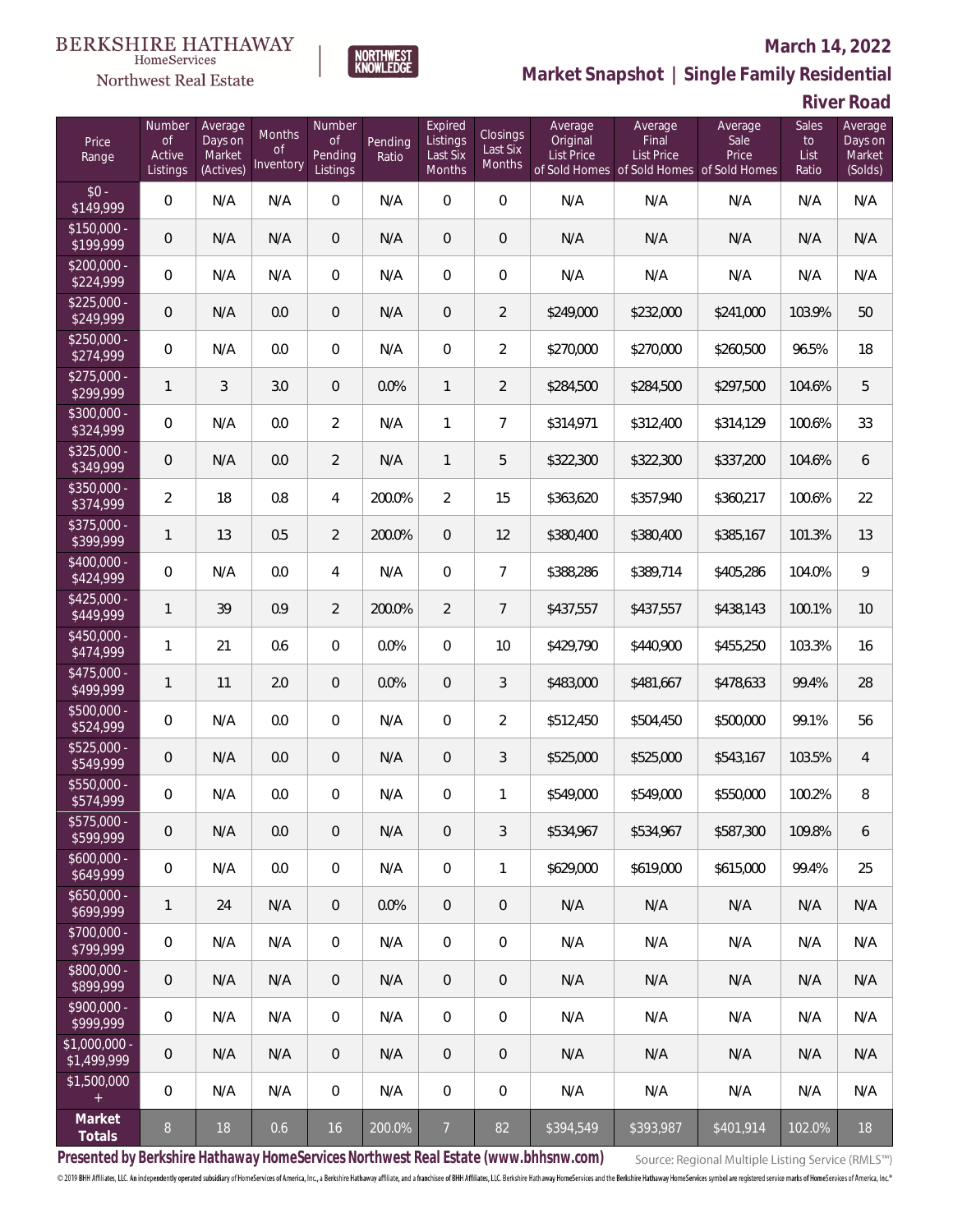### Northwest Real Estate

### **March 14, 2022**



**Market Snapshot | Single Family Residential**

**River Road**

| Price<br>Range                    | Number<br><b>of</b><br>Active<br>Listings | Average<br>Days on<br>Market<br>(Actives) | Months<br><b>of</b><br>Inventory | Number<br><b>of</b><br>Pending<br>Listings | Pending<br>Ratio | Expired<br>Listings<br>Last Six<br>Months | Closings<br>Last Six<br>Months | Average<br>Original<br><b>List Price</b> | Average<br>Final<br><b>List Price</b><br>of Sold Homes of Sold Homes of Sold Homes | Average<br>Sale<br>Price | Sales<br>to<br>List<br>Ratio | Average<br>Days on<br>Market<br>(Solds) |
|-----------------------------------|-------------------------------------------|-------------------------------------------|----------------------------------|--------------------------------------------|------------------|-------------------------------------------|--------------------------------|------------------------------------------|------------------------------------------------------------------------------------|--------------------------|------------------------------|-----------------------------------------|
| $$0 -$<br>\$149,999               | $\overline{0}$                            | N/A                                       | N/A                              | $\overline{0}$                             | N/A              | $\overline{0}$                            | $\overline{0}$                 | N/A                                      | N/A                                                                                | N/A                      | N/A                          | N/A                                     |
| $$150,000 -$<br>\$199,999         | $\mathbf 0$                               | N/A                                       | N/A                              | $\overline{0}$                             | N/A              | $\overline{0}$                            | $\mathbf 0$                    | N/A                                      | N/A                                                                                | N/A                      | N/A                          | N/A                                     |
| $$200,000 -$<br>\$224,999         | $\overline{0}$                            | N/A                                       | N/A                              | $\overline{0}$                             | N/A              | $\overline{0}$                            | $\boldsymbol{0}$               | N/A                                      | N/A                                                                                | N/A                      | N/A                          | N/A                                     |
| $$225,000 -$<br>\$249,999         | $\mathbf 0$                               | N/A                                       | 0.0                              | $\overline{0}$                             | N/A              | 0                                         | $\overline{2}$                 | \$249,000                                | \$232,000                                                                          | \$241,000                | 103.9%                       | 50                                      |
| $$250,000 -$<br>\$274,999         | $\overline{0}$                            | N/A                                       | 0.0                              | $\overline{0}$                             | N/A              | $\overline{0}$                            | $\overline{a}$                 | \$270,000                                | \$270,000                                                                          | \$260,500                | 96.5%                        | 18                                      |
| $$275,000 -$<br>\$299,999         | $\mathbf{1}$                              | 3                                         | 3.0                              | $\overline{0}$                             | 0.0%             | $\mathbf{1}$                              | $\overline{2}$                 | \$284,500                                | \$284,500                                                                          | \$297,500                | 104.6%                       | 5                                       |
| $$300,000 -$<br>\$324,999         | $\mathbf 0$                               | N/A                                       | 0.0                              | $\overline{2}$                             | N/A              | 1                                         | $\overline{7}$                 | \$314,971                                | \$312,400                                                                          | \$314,129                | 100.6%                       | 33                                      |
| $$325,000 -$<br>\$349,999         | $\mathbf 0$                               | N/A                                       | 0.0                              | $\overline{2}$                             | N/A              | $\mathbf{1}$                              | 5                              | \$322,300                                | \$322,300                                                                          | \$337,200                | 104.6%                       | 6                                       |
| $$350,000 -$<br>\$374,999         | $\overline{2}$                            | 18                                        | 0.8                              | $\overline{4}$                             | 200.0%           | $\overline{2}$                            | 15                             | \$363,620                                | \$357,940                                                                          | \$360,217                | 100.6%                       | 22                                      |
| $$375,000 -$<br>\$399,999         | 1                                         | 13                                        | 0.5                              | $\overline{2}$                             | 200.0%           | $\overline{0}$                            | 12                             | \$380,400                                | \$380,400                                                                          | \$385,167                | 101.3%                       | 13                                      |
| $$400,000 -$<br>\$424,999         | $\mathbf 0$                               | N/A                                       | 0.0                              | $\overline{4}$                             | N/A              | $\mathbf 0$                               | $\overline{7}$                 | \$388,286                                | \$389,714                                                                          | \$405,286                | 104.0%                       | $\mathsf{Q}$                            |
| $$425,000 -$<br>\$449,999         | $\mathbf{1}$                              | 39                                        | 0.9                              | $\overline{2}$                             | 200.0%           | $\overline{2}$                            | $\overline{7}$                 | \$437,557                                | \$437,557                                                                          | \$438,143                | 100.1%                       | 10                                      |
| $$450,000 -$<br>\$474,999         | 1                                         | 21                                        | 0.6                              | $\Omega$                                   | 0.0%             | $\Omega$                                  | 10                             | \$429,790                                | \$440,900                                                                          | \$455,250                | 103.3%                       | 16                                      |
| $$475,000 -$<br>\$499,999         | 1                                         | 11                                        | 2.0                              | $\overline{0}$                             | 0.0%             | $\Omega$                                  | 3                              | \$483,000                                | \$481,667                                                                          | \$478,633                | 99.4%                        | 28                                      |
| $$500,000 -$<br>\$524,999         | $\overline{0}$                            | N/A                                       | 0.0                              | $\Omega$                                   | N/A              | $\Omega$                                  | $\overline{2}$                 | \$512,450                                | \$504,450                                                                          | \$500,000                | 99.1%                        | 56                                      |
| $$525,000 -$<br>\$549,999         | $\mathbf 0$                               | N/A                                       | 0.0                              | $\overline{0}$                             | N/A              | $\overline{0}$                            | 3                              | \$525,000                                | \$525,000                                                                          | \$543,167                | 103.5%                       | $\overline{4}$                          |
| $$550,000 -$<br>$\sqrt{$574,999}$ | $\overline{0}$                            | N/A                                       | 0.0                              | $\overline{0}$                             | N/A              | $\overline{0}$                            | $\mathbf{1}$                   | \$549,000                                | \$549,000                                                                          | \$550,000                | 100.2%                       | 8                                       |
| \$575,000 -<br>\$599,999          | 0                                         | N/A                                       | 0.0                              | $\mathbf 0$                                | N/A              | 0                                         | 3                              | \$534,967                                | \$534,967                                                                          | \$587,300                | 109.8%                       | 6                                       |
| $$600,000 -$<br>\$649,999         | 0                                         | N/A                                       | 0.0                              | $\boldsymbol{0}$                           | N/A              | $\boldsymbol{0}$                          | $\mathbf{1}$                   | \$629,000                                | \$619,000                                                                          | \$615,000                | 99.4%                        | 25                                      |
| $$650,000 -$<br>\$699,999         | $\mathbf{1}$                              | 24                                        | N/A                              | $\overline{0}$                             | 0.0%             | $\mathbf 0$                               | $\mathbf 0$                    | N/A                                      | N/A                                                                                | N/A                      | N/A                          | N/A                                     |
| \$700,000 -<br>\$799,999          | 0                                         | N/A                                       | N/A                              | $\overline{0}$                             | N/A              | $\mathbf 0$                               | $\mathbf 0$                    | N/A                                      | N/A                                                                                | N/A                      | N/A                          | N/A                                     |
| \$800,000 -<br>\$899,999          | 0                                         | N/A                                       | N/A                              | $\overline{0}$                             | N/A              | $\overline{0}$                            | 0                              | N/A                                      | N/A                                                                                | N/A                      | N/A                          | N/A                                     |
| \$900,000 -<br>\$999,999          | 0                                         | N/A                                       | N/A                              | 0                                          | N/A              | $\overline{0}$                            | 0                              | N/A                                      | N/A                                                                                | N/A                      | N/A                          | N/A                                     |
| $$1,000,000 -$<br>\$1,499,999     | 0                                         | N/A                                       | N/A                              | $\overline{0}$                             | N/A              | $\overline{0}$                            | 0                              | N/A                                      | N/A                                                                                | N/A                      | N/A                          | N/A                                     |
| \$1,500,000<br>$+$                | $\overline{0}$                            | N/A                                       | N/A                              | $\overline{0}$                             | N/A              | $\boldsymbol{0}$                          | 0                              | N/A                                      | N/A                                                                                | N/A                      | N/A                          | N/A                                     |
| Market<br>Totals                  | $\boldsymbol{8}$                          | 18                                        | 0.6                              | 16                                         | 200.0%           | $\overline{7}$                            | 82                             | \$394,549                                | \$393,987                                                                          | \$401,914                | 102.0%                       | 18                                      |

**Presented by Berkshire Hathaway HomeServices Northwest Real Estate (www.bhhsnw.com)**

Source: Regional Multiple Listing Service (RMLS™)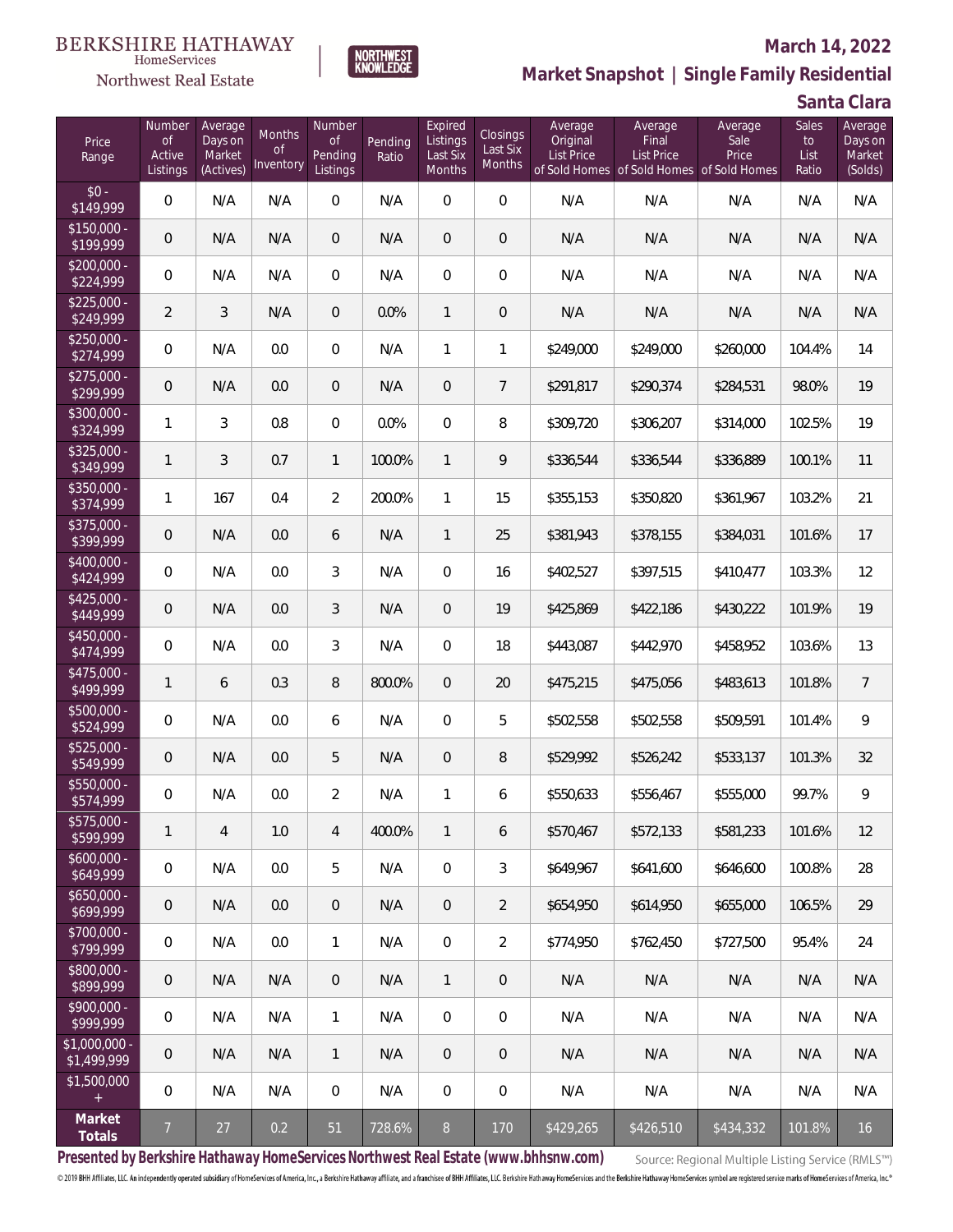### Northwest Real Estate

### **March 14, 2022**



**Market Snapshot | Single Family Residential**

**Santa Clara**

| Price<br>Range               | Number<br><b>of</b><br>Active<br>Listings | Average<br>Days on<br>Market<br>(Actives) | <b>Months</b><br><b>of</b><br>Inventory | Number<br><b>of</b><br>Pending<br>Listings | Pending<br>Ratio | Expired<br>Listings<br>Last Six<br>Months | <b>Closings</b><br>Last Six<br>Months | Average<br>Original<br><b>List Price</b> | Average<br>Final<br>List Price<br>of Sold Homes of Sold Homes of Sold Homes | Average<br>Sale<br>Price | Sales<br>to<br>List<br>Ratio | Average<br>Days on<br>Market<br>(Solds) |
|------------------------------|-------------------------------------------|-------------------------------------------|-----------------------------------------|--------------------------------------------|------------------|-------------------------------------------|---------------------------------------|------------------------------------------|-----------------------------------------------------------------------------|--------------------------|------------------------------|-----------------------------------------|
| $$0 -$<br>\$149,999          | $\overline{0}$                            | N/A                                       | N/A                                     | $\overline{0}$                             | N/A              | $\overline{0}$                            | $\overline{0}$                        | N/A                                      | N/A                                                                         | N/A                      | N/A                          | N/A                                     |
| $$150,000 -$<br>\$199,999    | $\mathbf 0$                               | N/A                                       | N/A                                     | $\boldsymbol{0}$                           | N/A              | $\overline{0}$                            | $\mathbf 0$                           | N/A                                      | N/A                                                                         | N/A                      | N/A                          | N/A                                     |
| $$200,000 -$<br>\$224,999    | $\overline{0}$                            | N/A                                       | N/A                                     | $\overline{0}$                             | N/A              | $\mathbf 0$                               | $\overline{0}$                        | N/A                                      | N/A                                                                         | N/A                      | N/A                          | N/A                                     |
| $$225,000 -$<br>\$249,999    | $\overline{2}$                            | 3                                         | N/A                                     | $\boldsymbol{0}$                           | 0.0%             | 1                                         | $\mathbf 0$                           | N/A                                      | N/A                                                                         | N/A                      | N/A                          | N/A                                     |
| $$250,000 -$<br>\$274,999    | $\boldsymbol{0}$                          | N/A                                       | 0.0                                     | $\overline{0}$                             | N/A              | 1                                         | $\mathbf{1}$                          | \$249,000                                | \$249,000                                                                   | \$260,000                | 104.4%                       | 14                                      |
| $$275,000 -$<br>\$299,999    | $\boldsymbol{0}$                          | N/A                                       | 0.0                                     | $\boldsymbol{0}$                           | N/A              | $\mathbf 0$                               | $\overline{7}$                        | \$291,817                                | \$290,374                                                                   | \$284,531                | 98.0%                        | 19                                      |
| $$300,000 -$<br>\$324,999    | $\mathbf{1}$                              | 3                                         | 0.8                                     | $\overline{0}$                             | 0.0%             | $\mathbf 0$                               | 8                                     | \$309,720                                | \$306,207                                                                   | \$314,000                | 102.5%                       | 19                                      |
| $$325,000 -$<br>\$349,999    | $\mathbf{1}$                              | 3                                         | 0.7                                     | $\mathbf{1}$                               | 100.0%           | $\mathbf{1}$                              | 9                                     | \$336,544                                | \$336,544                                                                   | \$336,889                | 100.1%                       | 11                                      |
| $$350,000 -$<br>\$374,999    | 1                                         | 167                                       | 0.4                                     | $\overline{2}$                             | 200.0%           | $\mathbf{1}$                              | 15                                    | \$355,153                                | \$350,820                                                                   | \$361,967                | 103.2%                       | 21                                      |
| $$375,000 -$<br>\$399,999    | $\boldsymbol{0}$                          | N/A                                       | 0.0                                     | 6                                          | N/A              | $\mathbf{1}$                              | 25                                    | \$381,943                                | \$378,155                                                                   | \$384,031                | 101.6%                       | 17                                      |
| $$400,000 -$<br>\$424,999    | $\overline{0}$                            | N/A                                       | 0.0                                     | 3                                          | N/A              | $\Omega$                                  | 16                                    | \$402,527                                | \$397,515                                                                   | \$410,477                | 103.3%                       | 12                                      |
| $$425,000 -$<br>\$449,999    | $\mathbf 0$                               | N/A                                       | 0.0                                     | $\overline{3}$                             | N/A              | $\Omega$                                  | 19                                    | \$425,869                                | \$422,186                                                                   | \$430,222                | 101.9%                       | 19                                      |
| $$450,000 -$<br>\$474,999    | $\overline{0}$                            | N/A                                       | 0.0                                     | 3                                          | N/A              | $\Omega$                                  | 18                                    | \$443,087                                | \$442,970                                                                   | \$458,952                | 103.6%                       | 13                                      |
| $$475,000 -$<br>\$499,999    | $\mathbf{1}$                              | 6                                         | 0.3                                     | 8                                          | 800.0%           | $\overline{0}$                            | 20                                    | \$475,215                                | \$475,056                                                                   | \$483,613                | 101.8%                       | $\overline{7}$                          |
| $$500,000 -$<br>\$524,999    | $\boldsymbol{0}$                          | N/A                                       | 0.0                                     | 6                                          | N/A              | $\overline{0}$                            | 5                                     | \$502,558                                | \$502,558                                                                   | \$509,591                | 101.4%                       | 9                                       |
| $$525,000 -$<br>\$549,999    | $\mathbf 0$                               | N/A                                       | 0.0                                     | 5                                          | N/A              | $\overline{0}$                            | 8                                     | \$529,992                                | \$526,242                                                                   | \$533,137                | 101.3%                       | 32                                      |
| $$550,000 -$<br>\$574,999    | 0                                         | N/A                                       | 0.0                                     | $\overline{2}$                             | N/A              | 1                                         | 6                                     | \$550,633                                | \$556,467                                                                   | \$555,000                | 99.7%                        | 9                                       |
| \$575,000 -<br>\$599,999     | 1                                         | 4                                         | $1.0\,$                                 | 4                                          | 400.0%           | 1                                         | 6                                     | \$570,467                                | \$572,133                                                                   | \$581,233                | 101.6%                       | 12                                      |
| $$600,000 -$<br>\$649,999    | 0                                         | N/A                                       | $0.0\,$                                 | 5                                          | N/A              | $\boldsymbol{0}$                          | 3                                     | \$649,967                                | \$641,600                                                                   | \$646,600                | 100.8%                       | 28                                      |
| $$650,000 -$<br>\$699,999    | 0                                         | N/A                                       | $0.0\,$                                 | $\overline{0}$                             | N/A              | $\overline{0}$                            | $\overline{2}$                        | \$654,950                                | \$614,950                                                                   | \$655,000                | 106.5%                       | 29                                      |
| \$700,000 -<br>\$799,999     | $\overline{0}$                            | N/A                                       | 0.0                                     | $\mathbf{1}$                               | N/A              | $\mathbb O$                               | $\overline{2}$                        | \$774,950                                | \$762,450                                                                   | \$727,500                | 95.4%                        | 24                                      |
| \$800,000 -<br>\$899,999     | 0                                         | N/A                                       | N/A                                     | $\overline{0}$                             | N/A              | $\mathbf{1}$                              | 0                                     | N/A                                      | N/A                                                                         | N/A                      | N/A                          | N/A                                     |
| \$900,000 -<br>\$999,999     | 0                                         | N/A                                       | N/A                                     | $\mathbf{1}$                               | N/A              | $\mathbf 0$                               | 0                                     | N/A                                      | N/A                                                                         | N/A                      | N/A                          | N/A                                     |
| \$1,000,000 -<br>\$1,499,999 | 0                                         | N/A                                       | N/A                                     | $\mathbf{1}$                               | N/A              | $\overline{0}$                            | 0                                     | N/A                                      | N/A                                                                         | N/A                      | N/A                          | N/A                                     |
| \$1,500,000<br>$+$           | $\overline{0}$                            | N/A                                       | N/A                                     | $\mathbf 0$                                | N/A              | $\mathbf 0$                               | 0                                     | N/A                                      | N/A                                                                         | N/A                      | N/A                          | N/A                                     |
| Market<br>Totals             | $\overline{7}$                            | $27$                                      | 0.2                                     | 51                                         | 728.6%           | $8\,$                                     | 170                                   | \$429,265                                | \$426,510                                                                   | \$434,332                | 101.8%                       | 16                                      |

**Presented by Berkshire Hathaway HomeServices Northwest Real Estate (www.bhhsnw.com)**

Source: Regional Multiple Listing Service (RMLS™)